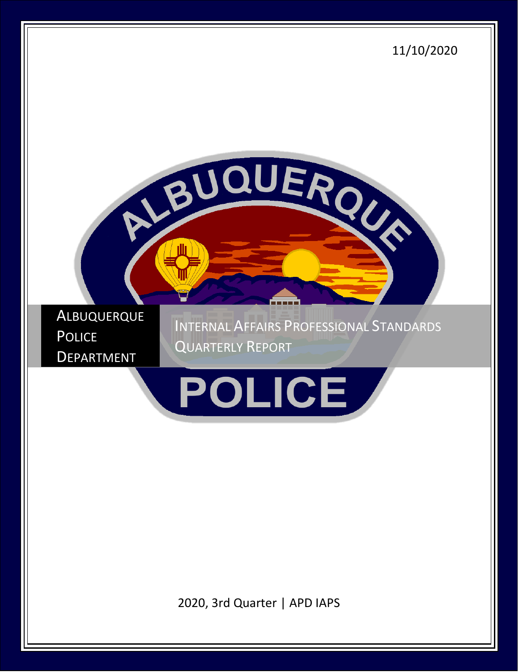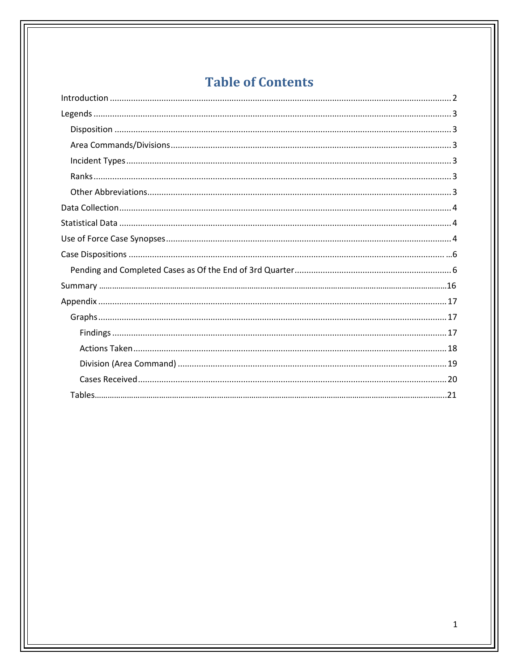# **Table of Contents**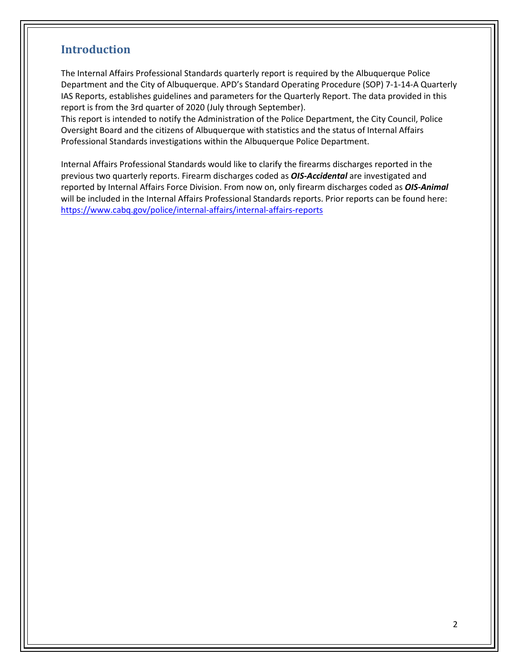## <span id="page-2-0"></span>**Introduction**

The Internal Affairs Professional Standards quarterly report is required by the Albuquerque Police Department and the City of Albuquerque. APD's Standard Operating Procedure (SOP) 7-1-14-A Quarterly IAS Reports, establishes guidelines and parameters for the Quarterly Report. The data provided in this report is from the 3rd quarter of 2020 (July through September).

This report is intended to notify the Administration of the Police Department, the City Council, Police Oversight Board and the citizens of Albuquerque with statistics and the status of Internal Affairs Professional Standards investigations within the Albuquerque Police Department.

Internal Affairs Professional Standards would like to clarify the firearms discharges reported in the previous two quarterly reports. Firearm discharges coded as *OIS-Accidental* are investigated and reported by Internal Affairs Force Division. From now on, only firearm discharges coded as *OIS-Animal* will be included in the Internal Affairs Professional Standards reports. Prior reports can be found here: <https://www.cabq.gov/police/internal-affairs/internal-affairs-reports>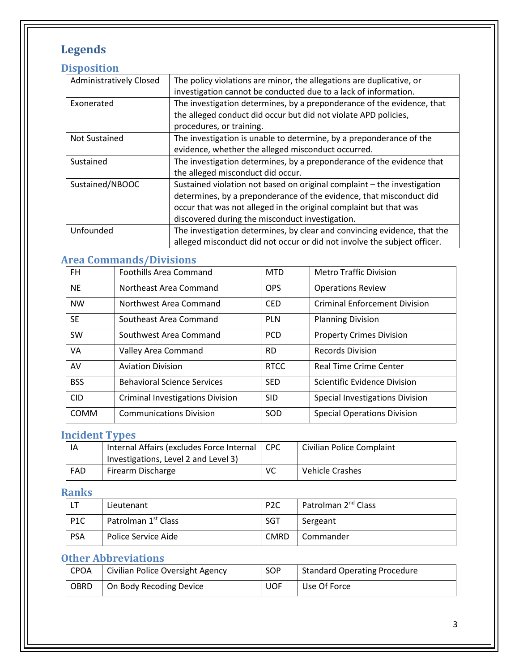# <span id="page-3-0"></span>**Legends**

## <span id="page-3-1"></span>**Disposition**

| The policy violations are minor, the allegations are duplicative, or     |
|--------------------------------------------------------------------------|
|                                                                          |
| investigation cannot be conducted due to a lack of information.          |
| The investigation determines, by a preponderance of the evidence, that   |
| the alleged conduct did occur but did not violate APD policies,          |
| procedures, or training.                                                 |
| The investigation is unable to determine, by a preponderance of the      |
| evidence, whether the alleged misconduct occurred.                       |
| The investigation determines, by a preponderance of the evidence that    |
| the alleged misconduct did occur.                                        |
| Sustained violation not based on original complaint - the investigation  |
| determines, by a preponderance of the evidence, that misconduct did      |
| occur that was not alleged in the original complaint but that was        |
| discovered during the misconduct investigation.                          |
| The investigation determines, by clear and convincing evidence, that the |
| alleged misconduct did not occur or did not involve the subject officer. |
|                                                                          |

## <span id="page-3-2"></span>**Area Commands/Divisions**

| FH.         | <b>Foothills Area Command</b>           | <b>MTD</b>  | <b>Metro Traffic Division</b>        |
|-------------|-----------------------------------------|-------------|--------------------------------------|
| <b>NE</b>   | Northeast Area Command                  | <b>OPS</b>  | <b>Operations Review</b>             |
| <b>NW</b>   | Northwest Area Command                  | <b>CED</b>  | <b>Criminal Enforcement Division</b> |
| <b>SE</b>   | Southeast Area Command                  | <b>PLN</b>  | <b>Planning Division</b>             |
| SW          | Southwest Area Command                  | <b>PCD</b>  | <b>Property Crimes Division</b>      |
| <b>VA</b>   | Valley Area Command                     | RD.         | <b>Records Division</b>              |
| AV          | <b>Aviation Division</b>                | <b>RTCC</b> | <b>Real Time Crime Center</b>        |
| <b>BSS</b>  | <b>Behavioral Science Services</b>      | <b>SED</b>  | Scientific Evidence Division         |
| <b>CID</b>  | <b>Criminal Investigations Division</b> | <b>SID</b>  | Special Investigations Division      |
| <b>COMM</b> | <b>Communications Division</b>          | SOD         | <b>Special Operations Division</b>   |

## <span id="page-3-3"></span>**Incident Types**

| ΙA  | Internal Affairs (excludes Force Internal   CPC |    | Civilian Police Complaint |
|-----|-------------------------------------------------|----|---------------------------|
|     | Investigations, Level 2 and Level 3)            |    |                           |
| FAD | Firearm Discharge                               | VC | Vehicle Crashes           |

## <span id="page-3-4"></span>**Ranks**

|                  | Lieutenant                      | P <sub>2</sub> C | Patrolman 2 <sup>nd</sup> Class |
|------------------|---------------------------------|------------------|---------------------------------|
| P <sub>1</sub> C | Patrolman 1 <sup>st</sup> Class | SGT              | Sergeant                        |
| <b>PSA</b>       | Police Service Aide             | <b>CMRD</b>      | Commander                       |

## <span id="page-3-5"></span>**Other Abbreviations**

| <b>CPOA</b> | Civilian Police Oversight Agency | <b>SOP</b> | <b>Standard Operating Procedure</b> |
|-------------|----------------------------------|------------|-------------------------------------|
| <b>OBRD</b> | On Body Recoding Device          | <b>UOF</b> | Use Of Force                        |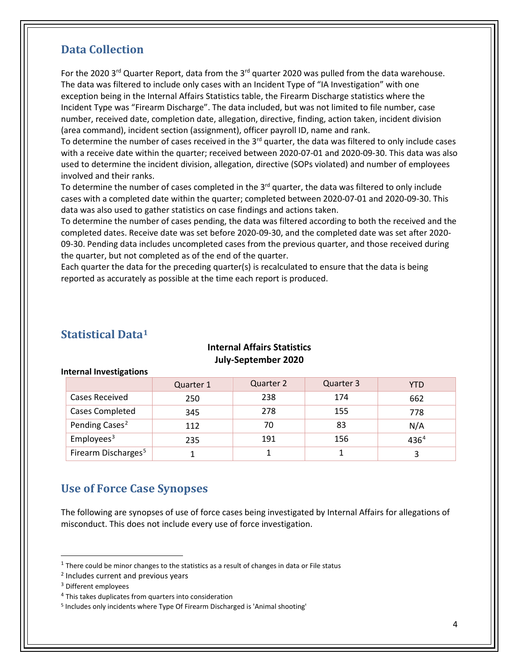## <span id="page-4-0"></span>**Data Collection**

For the 2020 3<sup>rd</sup> Quarter Report, data from the 3<sup>rd</sup> quarter 2020 was pulled from the data warehouse. The data was filtered to include only cases with an Incident Type of "IA Investigation" with one exception being in the Internal Affairs Statistics table, the Firearm Discharge statistics where the Incident Type was "Firearm Discharge". The data included, but was not limited to file number, case number, received date, completion date, allegation, directive, finding, action taken, incident division (area command), incident section (assignment), officer payroll ID, name and rank.

To determine the number of cases received in the  $3<sup>rd</sup>$  quarter, the data was filtered to only include cases with a receive date within the quarter; received between 2020-07-01 and 2020-09-30. This data was also used to determine the incident division, allegation, directive (SOPs violated) and number of employees involved and their ranks.

To determine the number of cases completed in the  $3<sup>rd</sup>$  quarter, the data was filtered to only include cases with a completed date within the quarter; completed between 2020-07-01 and 2020-09-30. This data was also used to gather statistics on case findings and actions taken.

To determine the number of cases pending, the data was filtered according to both the received and the completed dates. Receive date was set before 2020-09-30, and the completed date was set after 2020- 09-30. Pending data includes uncompleted cases from the previous quarter, and those received during the quarter, but not completed as of the end of the quarter.

Each quarter the data for the preceding quarter(s) is recalculated to ensure that the data is being reported as accurately as possible at the time each report is produced.

## <span id="page-4-1"></span>**Statistical Data[1](#page-4-3)**

**Internal Investigations**

#### **Internal Affairs Statistics July-September 2020**

|                                 | Quarter 1 | Quarter 2 | Quarter 3 | YTD  |
|---------------------------------|-----------|-----------|-----------|------|
| Cases Received                  | 250       | 238       | 174       | 662  |
| <b>Cases Completed</b>          | 345       | 278       | 155       | 778  |
| Pending Cases <sup>2</sup>      | 112       | 70        | 83        | N/A  |
| Employees <sup>3</sup>          | 235       | 191       | 156       | 4364 |
| Firearm Discharges <sup>5</sup> |           |           |           |      |

# <span id="page-4-2"></span>**Use of Force Case Synopses**

The following are synopses of use of force cases being investigated by Internal Affairs for allegations of misconduct. This does not include every use of force investigation.

<span id="page-4-3"></span> $1$  There could be minor changes to the statistics as a result of changes in data or File status

<span id="page-4-4"></span><sup>2</sup> Includes current and previous years

<sup>&</sup>lt;sup>3</sup> Different employees

<span id="page-4-6"></span><span id="page-4-5"></span><sup>&</sup>lt;sup>4</sup> This takes duplicates from quarters into consideration

<span id="page-4-7"></span><sup>5</sup> Includes only incidents where Type Of Firearm Discharged is 'Animal shooting'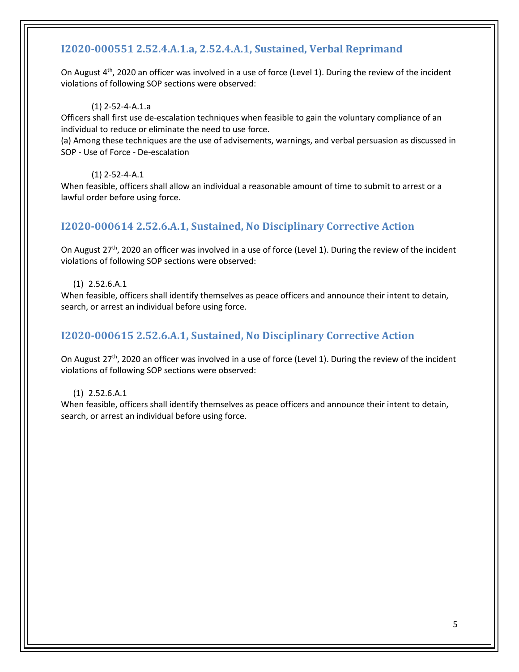## **I2020-000551 2.52.4.A.1.a, 2.52.4.A.1, Sustained, Verbal Reprimand**

On August  $4<sup>th</sup>$ , 2020 an officer was involved in a use of force (Level 1). During the review of the incident violations of following SOP sections were observed:

#### (1) 2-52-4-A.1.a

Officers shall first use de-escalation techniques when feasible to gain the voluntary compliance of an individual to reduce or eliminate the need to use force.

(a) Among these techniques are the use of advisements, warnings, and verbal persuasion as discussed in SOP - Use of Force - De-escalation

#### (1) 2-52-4-A.1

When feasible, officers shall allow an individual a reasonable amount of time to submit to arrest or a lawful order before using force.

## **I2020-000614 2.52.6.A.1, Sustained, No Disciplinary Corrective Action**

On August  $27<sup>th</sup>$ , 2020 an officer was involved in a use of force (Level 1). During the review of the incident violations of following SOP sections were observed:

#### (1) 2.52.6.A.1

When feasible, officers shall identify themselves as peace officers and announce their intent to detain, search, or arrest an individual before using force.

### **I2020-000615 2.52.6.A.1, Sustained, No Disciplinary Corrective Action**

On August 27<sup>th</sup>, 2020 an officer was involved in a use of force (Level 1). During the review of the incident violations of following SOP sections were observed:

#### (1) 2.52.6.A.1

<span id="page-5-0"></span>When feasible, officers shall identify themselves as peace officers and announce their intent to detain, search, or arrest an individual before using force.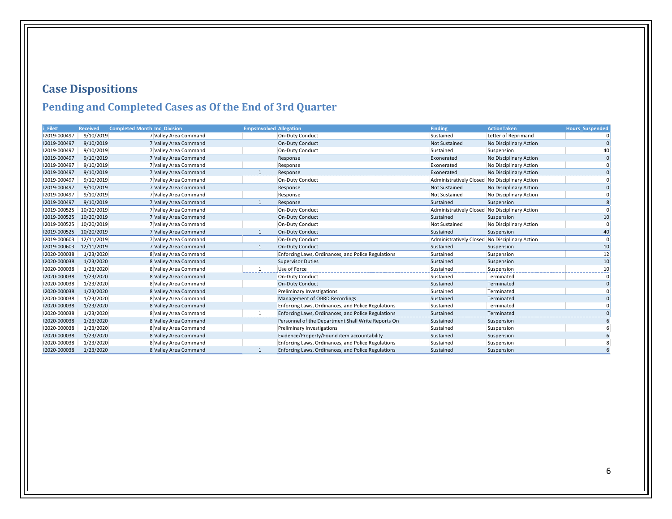# **Case Dispositions**

## **Pending and Completed Cases as Of the End of 3rd Quarter**

<span id="page-6-0"></span>

| i File#      | <b>Received</b> | <b>Completed Month Inc_Division</b> | <b>EmpsInvolved Allegation</b> |                                                    | <b>Finding</b>                                 | <b>ActionTaken</b>     | <b>Hours Suspended</b> |
|--------------|-----------------|-------------------------------------|--------------------------------|----------------------------------------------------|------------------------------------------------|------------------------|------------------------|
| 12019-000497 | 9/10/2019       | 7 Valley Area Command               |                                | On-Duty Conduct                                    | Sustained                                      | Letter of Reprimand    |                        |
| 12019-000497 | 9/10/2019       | 7 Valley Area Command               |                                | <b>On-Duty Conduct</b>                             | Not Sustained                                  | No Disciplinary Action |                        |
| 12019-000497 | 9/10/2019       | 7 Valley Area Command               |                                | On-Duty Conduct                                    | Sustained                                      | Suspension             |                        |
| 12019-000497 | 9/10/2019       | 7 Valley Area Command               |                                | Response                                           | Exonerated                                     | No Disciplinary Action |                        |
| 12019-000497 | 9/10/2019       | 7 Valley Area Command               |                                | Response                                           | Exonerated                                     | No Disciplinary Action |                        |
| 12019-000497 | 9/10/2019       | 7 Valley Area Command               |                                | Response                                           | Exonerated                                     | No Disciplinary Action |                        |
| 12019-000497 | 9/10/2019       | 7 Valley Area Command               |                                | On-Duty Conduct                                    | Administratively Closed                        | No Disciplinary Action |                        |
| 12019-000497 | 9/10/2019       | 7 Valley Area Command               |                                | Response                                           | Not Sustained                                  | No Disciplinary Action | n                      |
| 12019-000497 | 9/10/2019       | 7 Valley Area Command               |                                | Response                                           | Not Sustained                                  | No Disciplinary Action |                        |
| 12019-000497 | 9/10/2019       | 7 Valley Area Command               |                                | Response                                           | Sustained                                      | Suspension             |                        |
| 12019-000525 | 10/20/2019      | 7 Valley Area Command               |                                | On-Duty Conduct                                    | Administratively Closed No Disciplinary Action |                        | $\Omega$               |
| 12019-000525 | 10/20/2019      | 7 Valley Area Command               |                                | On-Duty Conduct                                    | Sustained                                      | Suspension             | 10                     |
| 12019-000525 | 10/20/2019      | 7 Valley Area Command               |                                | On-Duty Conduct                                    | Not Sustained                                  | No Disciplinary Action |                        |
| 12019-000525 | 10/20/2019      | 7 Valley Area Command               |                                | On-Duty Conduct                                    | Sustained                                      | Suspension             | 40                     |
| 12019-000603 | 12/11/2019      | 7 Valley Area Command               |                                | On-Duty Conduct                                    | Administratively Closed No Disciplinary Action |                        | $\Omega$               |
| 12019-000603 | 12/11/2019      | 7 Valley Area Command               |                                | <b>On-Duty Conduct</b>                             | Sustained                                      | Suspension             | 10                     |
| 12020-000038 | 1/23/2020       | 8 Valley Area Command               |                                | Enforcing Laws, Ordinances, and Police Regulations | Sustained                                      | Suspension             | 12                     |
| 12020-000038 | 1/23/2020       | 8 Valley Area Command               |                                | <b>Supervisor Duties</b>                           | Sustained                                      | Suspension             | 10                     |
| 12020-000038 | 1/23/2020       | 8 Valley Area Command               | 1                              | Use of Force                                       | Sustained                                      | Suspension             | 10                     |
| 12020-000038 | 1/23/2020       | 8 Valley Area Command               |                                | <b>On-Duty Conduct</b>                             | Sustained                                      | Terminated             |                        |
| 12020-000038 | 1/23/2020       | 8 Valley Area Command               |                                | On-Duty Conduct                                    | Sustained                                      | Terminated             | $\Omega$               |
| 12020-000038 | 1/23/2020       | 8 Valley Area Command               |                                | Preliminary Investigations                         | Sustained                                      | Terminated             |                        |
| 12020-000038 | 1/23/2020       | 8 Valley Area Command               |                                | Management of OBRD Recordings                      | Sustained                                      | Terminated             |                        |
| 12020-000038 | 1/23/2020       | 8 Valley Area Command               |                                | Enforcing Laws, Ordinances, and Police Regulations | Sustained                                      | Terminated             |                        |
| 12020-000038 | 1/23/2020       | 8 Valley Area Command               | $\mathbf{1}$                   | Enforcing Laws, Ordinances, and Police Regulations | Sustained                                      | Terminated             |                        |
| 12020-000038 | 1/23/2020       | 8 Valley Area Command               |                                | Personnel of the Department Shall Write Reports On | Sustained                                      | Suspension             |                        |
| 12020-000038 | 1/23/2020       | 8 Valley Area Command               |                                | Preliminary Investigations                         | Sustained                                      | Suspension             |                        |
| 12020-000038 | 1/23/2020       | 8 Valley Area Command               |                                | Evidence/Property/Found item accountability        | Sustained                                      | Suspension             |                        |
| 12020-000038 | 1/23/2020       | 8 Valley Area Command               |                                | Enforcing Laws, Ordinances, and Police Regulations | Sustained                                      | Suspension             |                        |
| 12020-000038 | 1/23/2020       | 8 Valley Area Command               |                                | Enforcing Laws, Ordinances, and Police Regulations | Sustained                                      | Suspension             |                        |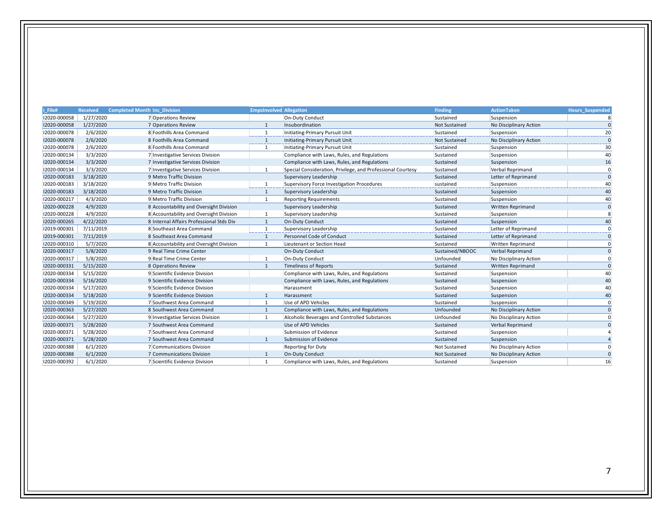|              |           |                                          |                |                                                             |                      |                          | <b>Hours_Suspended</b> |
|--------------|-----------|------------------------------------------|----------------|-------------------------------------------------------------|----------------------|--------------------------|------------------------|
| 12020-000058 | 1/27/2020 | 7 Operations Review                      |                | On-Duty Conduct                                             | Sustained            | Suspension               |                        |
| 12020-000058 | 1/27/2020 | 7 Operations Review                      |                | Insubordination                                             | <b>Not Sustained</b> | No Disciplinary Action   |                        |
| 12020-000078 | 2/6/2020  | 8 Foothills Area Command                 | 1              | Initiating-Primary Pursuit Unit                             | Sustained            | Suspension               | 20                     |
| 12020-000078 | 2/6/2020  | 8 Foothills Area Command                 | $\mathbf{1}$   | Initiating-Primary Pursuit Unit                             | Not Sustained        | No Disciplinary Action   |                        |
| 12020-000078 | 2/6/2020  | 8 Foothills Area Command                 | 1              | Initiating-Primary Pursuit Unit                             | Sustained            | Suspension               | 30                     |
| 12020-000134 | 3/3/2020  | 7 Investigative Services Division        |                | Compliance with Laws, Rules, and Regulations                | Sustained            | Suspension               | 40                     |
| 12020-000134 | 3/3/2020  | 7 Investigative Services Division        |                | Compliance with Laws, Rules, and Regulations                | Sustained            | Suspension               | 16                     |
| 12020-000134 | 3/3/2020  | 7 Investigative Services Division        | 1              | Special Consideration, Privilege, and Professional Courtesy | Sustained            | Verbal Reprimand         |                        |
| 12020-000183 | 3/18/2020 | 9 Metro Traffic Division                 |                | Supervisory Leadership                                      | Sustained            | Letter of Reprimand      | $\Omega$               |
| 12020-000183 | 3/18/2020 | 9 Metro Traffic Division                 | 1              | Supervisory Force Investigation Procedures                  | sustained            | Suspension               | 40                     |
| 12020-000183 | 3/18/2020 | 9 Metro Traffic Division                 | 1              | Supervisory Leadership                                      | Sustained            | Suspension               | 40                     |
| 12020-000217 | 4/3/2020  | 9 Metro Traffic Division                 | 1              | <b>Reporting Requirements</b>                               | Sustained            | Suspension               | 40                     |
| 12020-000228 | 4/9/2020  | 8 Accountability and Oversight Division  |                | Supervisory Leadership                                      | Sustained            | Written Reprimand        |                        |
| 12020-000228 | 4/9/2020  | 8 Accountability and Oversight Division  | $\mathbf{1}$   | Supervisory Leadership                                      | Sustained            | Suspension               |                        |
| 12020-000265 | 4/22/2020 | 8 Internal Affairs Professional Stds Div | $\mathbf{1}$   | <b>On-Duty Conduct</b>                                      | Sustained            | Suspension               | 40                     |
| 12019-000301 | 7/11/2019 | 8 Southeast Area Command                 | 1              | Supervisory Leadership                                      | Sustained            | Letter of Reprimand      |                        |
| 12019-000301 | 7/11/2019 | 8 Southeast Area Command                 | 1              | Personnel Code of Conduct                                   | Sustained            | Letter of Reprimand      |                        |
| 12020-000310 | 5/7/2020  | 8 Accountability and Oversight Division  | $\mathbf{1}$   | Lieutenant or Section Head                                  | Sustained            | <b>Written Reprimand</b> |                        |
| 12020-000317 | 5/8/2020  | 9 Real Time Crime Center                 |                | On-Duty Conduct                                             | Sustained/NBOOC      | Verbal Reprimand         |                        |
| 12020-000317 | 5/8/2020  | 9 Real Time Crime Center                 | 1              | <b>On-Duty Conduct</b>                                      | Unfounded            | No Disciplinary Action   |                        |
| 12020-000331 | 5/15/2020 | 8 Operations Review                      | $\mathbf{1}$   | <b>Timeliness of Reports</b>                                | Sustained            | Written Reprimand        |                        |
| 12020-000334 | 5/15/2020 | 9 Scientific Evidence Division           |                | Compliance with Laws, Rules, and Regulations                | Sustained            | Suspension               | 40                     |
| 12020-000334 | 5/16/2020 | 9 Scientific Evidence Division           |                | Compliance with Laws, Rules, and Regulations                | Sustained            | Suspension               | 40                     |
| 12020-000334 | 5/17/2020 | 9 Scientific Evidence Division           |                | Harassment                                                  | Sustained            | Suspension               | 40                     |
| 12020-000334 | 5/18/2020 | 9 Scientific Evidence Division           | $\mathbf{1}$   | Harassment                                                  | Sustained            | Suspension               | 40                     |
| 12020-000349 | 5/19/2020 | 7 Southwest Area Command                 | 1              | Use of APD Vehicles                                         | Sustained            | Suspension               |                        |
| 12020-000363 | 5/27/2020 | 8 Southwest Area Command                 | 1              | Compliance with Laws, Rules, and Regulations                | Unfounded            | No Disciplinary Action   |                        |
| 12020-000364 | 5/27/2020 | 9 Investigative Services Division        | $\overline{1}$ | Alcoholic Beverages and Controlled Substances               | Unfounded            | No Disciplinary Action   |                        |
| 12020-000371 | 5/28/2020 | 7 Southwest Area Command                 |                | Use of APD Vehicles                                         | Sustained            | Verbal Reprimand         |                        |
| 12020-000371 | 5/28/2020 | 7 Southwest Area Command                 |                | Submission of Evidence                                      | Sustained            | Suspension               |                        |
| 12020-000371 | 5/28/2020 | 7 Southwest Area Command                 | $\mathbf{1}$   | Submission of Evidence                                      | Sustained            | Suspension               |                        |
| 12020-000388 | 6/1/2020  | 7 Communications Division                |                | <b>Reporting for Duty</b>                                   | <b>Not Sustained</b> | No Disciplinary Action   |                        |
| 12020-000388 | 6/1/2020  | 7 Communications Division                | 1              | On-Duty Conduct                                             | Not Sustained        | No Disciplinary Action   |                        |
| 12020-000392 | 6/1/2020  | 7 Scientific Evidence Division           | 1              | Compliance with Laws, Rules, and Regulations                | Sustained            | Suspension               | 16                     |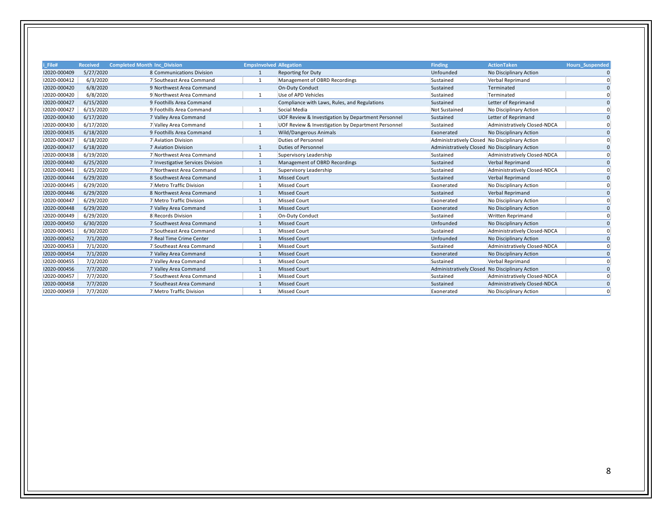| i File#      | <b>Received</b> | <b>Completed Month Inc Division</b> | <b>EmpsInvolved Allegation</b> |                                                    | <b>Finding</b>                                 | <b>ActionTaken</b>           | <b>Hours Suspended</b> |
|--------------|-----------------|-------------------------------------|--------------------------------|----------------------------------------------------|------------------------------------------------|------------------------------|------------------------|
| 12020-000409 | 5/27/2020       | 8 Communications Division           |                                | <b>Reporting for Duty</b>                          | Unfounded                                      | No Disciplinary Action       |                        |
| 12020-000412 | 6/3/2020        | 7 Southeast Area Command            | 1                              | Management of OBRD Recordings                      | Sustained                                      | Verbal Reprimand             |                        |
| 12020-000420 | 6/8/2020        | 9 Northwest Area Command            |                                | On-Duty Conduct                                    | Sustained                                      | Terminated                   | <sup>0</sup>           |
| 12020-000420 | 6/8/2020        | 9 Northwest Area Command            |                                | Use of APD Vehicles                                | Sustained                                      | Terminated                   |                        |
| 12020-000427 | 6/15/2020       | 9 Foothills Area Command            |                                | Compliance with Laws, Rules, and Regulations       | Sustained                                      | Letter of Reprimand          |                        |
| 12020-000427 | 6/15/2020       | 9 Foothills Area Command            | 1                              | Social Media                                       | <b>Not Sustained</b>                           | No Disciplinary Action       |                        |
| 12020-000430 | 6/17/2020       | 7 Valley Area Command               |                                | UOF Review & Investigation by Department Personnel | Sustained                                      | Letter of Reprimand          |                        |
| 12020-000430 | 6/17/2020       | 7 Valley Area Command               |                                | UOF Review & Investigation by Department Personnel | Sustained                                      | Administratively Closed-NDCA |                        |
| 12020-000435 | 6/18/2020       | 9 Foothills Area Command            | $\mathbf{1}$                   | Wild/Dangerous Animals                             | Exonerated                                     | No Disciplinary Action       |                        |
| 12020-000437 | 6/18/2020       | 7 Aviation Division                 |                                | <b>Duties of Personnel</b>                         | Administratively Closed No Disciplinary Action |                              |                        |
| 12020-000437 | 6/18/2020       | 7 Aviation Division                 |                                | <b>Duties of Personnel</b>                         | Administratively Closed No Disciplinary Action |                              |                        |
| 12020-000438 | 6/19/2020       | 7 Northwest Area Command            | $\mathbf{1}$                   | Supervisory Leadership                             | Sustained                                      | Administratively Closed-NDCA |                        |
| 12020-000440 | 6/25/2020       | 7 Investigative Services Division   |                                | Management of OBRD Recordings                      | Sustained                                      | Verbal Reprimand             |                        |
| 12020-000441 | 6/25/2020       | 7 Northwest Area Command            | 1                              | Supervisory Leadership                             | Sustained                                      | Administratively Closed-NDCA |                        |
| 12020-000444 | 6/29/2020       | 8 Southwest Area Command            | $\mathbf{1}$                   | <b>Missed Court</b>                                | Sustained                                      | Verbal Reprimand             |                        |
| 12020-000445 | 6/29/2020       | 7 Metro Traffic Division            | 1                              | <b>Missed Court</b>                                | Exonerated                                     | No Disciplinary Action       |                        |
| 12020-000446 | 6/29/2020       | 8 Northwest Area Command            |                                | <b>Missed Court</b>                                | Sustained                                      | Verbal Reprimand             | <sup>0</sup>           |
| 12020-000447 | 6/29/2020       | 7 Metro Traffic Division            | $\mathbf{1}$                   | <b>Missed Court</b>                                | Exonerated                                     | No Disciplinary Action       |                        |
| 12020-000448 | 6/29/2020       | 7 Valley Area Command               |                                | <b>Missed Court</b>                                | Exonerated                                     | No Disciplinary Action       |                        |
| 12020-000449 | 6/29/2020       | 8 Records Division                  | $\mathbf{1}$                   | On-Duty Conduct                                    | Sustained                                      | <b>Written Reprimand</b>     |                        |
| 12020-000450 | 6/30/2020       | 7 Southwest Area Command            |                                | <b>Missed Court</b>                                | Unfounded                                      | No Disciplinary Action       |                        |
| 12020-000451 | 6/30/2020       | 7 Southeast Area Command            |                                | <b>Missed Court</b>                                | Sustained                                      | Administratively Closed-NDCA |                        |
| 12020-000452 | 7/1/2020        | 7 Real Time Crime Center            |                                | <b>Missed Court</b>                                | Unfounded                                      | No Disciplinary Action       |                        |
| 12020-000453 | 7/1/2020        | 7 Southeast Area Command            |                                | <b>Missed Court</b>                                | Sustained                                      | Administratively Closed-NDCA |                        |
| 12020-000454 | 7/1/2020        | 7 Valley Area Command               | -1                             | <b>Missed Court</b>                                | Exonerated                                     | No Disciplinary Action       | $\Omega$               |
| 12020-000455 | 7/2/2020        | 7 Valley Area Command               |                                | <b>Missed Court</b>                                | Sustained                                      | Verbal Reprimand             |                        |
| 12020-000456 | 7/7/2020        | 7 Valley Area Command               |                                | <b>Missed Court</b>                                | Administratively Closed No Disciplinary Action |                              |                        |
| 12020-000457 | 7/7/2020        | 7 Southwest Area Command            |                                | <b>Missed Court</b>                                | Sustained                                      | Administratively Closed-NDCA |                        |
| 12020-000458 | 7/7/2020        | 7 Southeast Area Command            |                                | <b>Missed Court</b>                                | Sustained                                      | Administratively Closed-NDCA |                        |
| 12020-000459 | 7/7/2020        | 7 Metro Traffic Division            |                                | <b>Missed Court</b>                                | Exonerated                                     | No Disciplinary Action       |                        |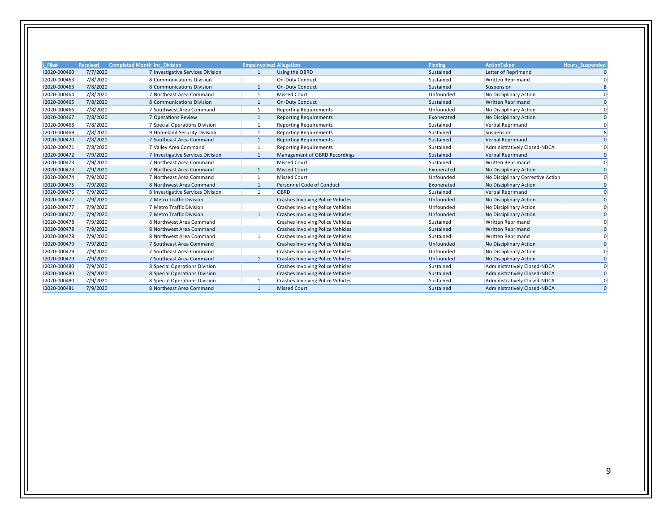| File#        | <b>Received</b> | <b>Completed Month Inc Division</b> | <b>EmpsInvolved Allegation</b> |                                          | <b>Finding</b> | <b>ActionTaken</b>                | <b>Hours Suspended</b> |
|--------------|-----------------|-------------------------------------|--------------------------------|------------------------------------------|----------------|-----------------------------------|------------------------|
| 12020-000460 | 7/7/2020        | 7 Investigative Services Division   | $\overline{1}$                 | Using the OBRD                           | Sustained      | Letter of Reprimand               |                        |
| 12020-000463 | 7/8/2020        | 8 Communications Division           |                                | On-Duty Conduct                          | Sustained      | <b>Written Reprimand</b>          |                        |
| 12020-000463 | 7/8/2020        | 8 Communications Division           |                                | On-Duty Conduct                          | Sustained      | Suspension                        |                        |
| 12020-000464 | 7/8/2020        | 7 Northeast Area Command            | $\mathbf{1}$                   | <b>Missed Court</b>                      | Unfounded      | No Disciplinary Action            |                        |
| 12020-000465 | 7/8/2020        | 8 Communications Division           |                                | On-Duty Conduct                          | Sustained      | <b>Written Reprimand</b>          |                        |
| 12020-000466 | 7/8/2020        | 7 Southwest Area Command            | $\mathbf{1}$                   | <b>Reporting Requirements</b>            | Unfounded      | No Disciplinary Action            |                        |
| 12020-000467 | 7/8/2020        | 7 Operations Review                 | -1                             | <b>Reporting Requirements</b>            | Exonerated     | No Disciplinary Action            |                        |
| 12020-000468 | 7/8/2020        | 7 Special Operations Division       |                                | <b>Reporting Requirements</b>            | Sustained      | Verbal Reprimand                  |                        |
| 12020-000469 | 7/8/2020        | 9 Homeland Security Division        |                                | <b>Reporting Requirements</b>            | Sustained      | Suspension                        |                        |
| 12020-000470 | 7/8/2020        | 7 Southeast Area Command            | 1                              | <b>Reporting Requirements</b>            | Sustained      | Verbal Reprimand                  |                        |
| 12020-000471 | 7/8/2020        | 7 Valley Area Command               |                                | <b>Reporting Requirements</b>            | Sustained      | Administratively Closed-NDCA      |                        |
| 12020-000472 | 7/9/2020        | 7 Investigative Services Division   | -1                             | Management of OBRD Recordings            | Sustained      | Verbal Reprimand                  |                        |
| 12020-000473 | 7/9/2020        | 7 Northeast Area Command            |                                | <b>Missed Court</b>                      | Sustained      | <b>Written Reprimand</b>          |                        |
| 12020-000473 | 7/9/2020        | 7 Northeast Area Command            |                                | <b>Missed Court</b>                      | Exonerated     | No Disciplinary Action            |                        |
| 12020-000474 | 7/9/2020        | 7 Northeast Area Command            | -1                             | <b>Missed Court</b>                      | Unfounded      | No Disciplinary Corrective Action |                        |
| 12020-000475 | 7/9/2020        | 8 Northwest Area Command            | -1                             | Personnel Code of Conduct                | Exonerated     | No Disciplinary Action            |                        |
| 12020-000476 | 7/9/2020        | 8 Investigative Services Division   | 1                              | OBRD                                     | Sustained      | Verbal Reprimand                  |                        |
| 12020-000477 | 7/9/2020        | 7 Metro Traffic Division            |                                | <b>Crashes Involving Police Vehicles</b> | Unfounded      | No Disciplinary Action            |                        |
| 12020-000477 | 7/9/2020        | 7 Metro Traffic Division            |                                | <b>Crashes Involving Police Vehicles</b> | Unfounded      | No Disciplinary Action            |                        |
| 12020-000477 | 7/9/2020        | 7 Metro Traffic Division            | $\mathbf{1}$                   | <b>Crashes Involving Police Vehicles</b> | Unfounded      | No Disciplinary Action            |                        |
| 12020-000478 | 7/9/2020        | 8 Northwest Area Command            |                                | <b>Crashes Involving Police Vehicles</b> | Sustained      | <b>Written Reprimand</b>          |                        |
| 12020-000478 | 7/9/2020        | 8 Northwest Area Command            |                                | <b>Crashes Involving Police Vehicles</b> | Sustained      | <b>Written Reprimand</b>          |                        |
| 12020-000478 | 7/9/2020        | 8 Northwest Area Command            |                                | Crashes Involving Police Vehicles        | Sustained      | <b>Written Reprimand</b>          |                        |
| 12020-000479 | 7/9/2020        | 7 Southeast Area Command            |                                | <b>Crashes Involving Police Vehicles</b> | Unfounded      | No Disciplinary Action            |                        |
| 12020-000479 | 7/9/2020        | 7 Southeast Area Command            |                                | <b>Crashes Involving Police Vehicles</b> | Unfounded      | No Disciplinary Action            |                        |
| 12020-000479 | 7/9/2020        | 7 Southeast Area Command            | $\overline{1}$                 | <b>Crashes Involving Police Vehicles</b> | Unfounded      | No Disciplinary Action            |                        |
| 12020-000480 | 7/9/2020        | 8 Special Operations Division       |                                | <b>Crashes Involving Police Vehicles</b> | Sustained      | Administratively Closed-NDCA      |                        |
| 12020-000480 | 7/9/2020        | 8 Special Operations Division       |                                | <b>Crashes Involving Police Vehicles</b> | Sustained      | Administratively Closed-NDCA      |                        |
| 12020-000480 | 7/9/2020        | 8 Special Operations Division       |                                | Crashes Involving Police Vehicles        | Sustained      | Administratively Closed-NDCA      |                        |
| 12020-000481 | 7/9/2020        | 8 Northeast Area Command            | $\mathbf{1}$                   | <b>Missed Court</b>                      | Sustained      | Administratively Closed-NDCA      |                        |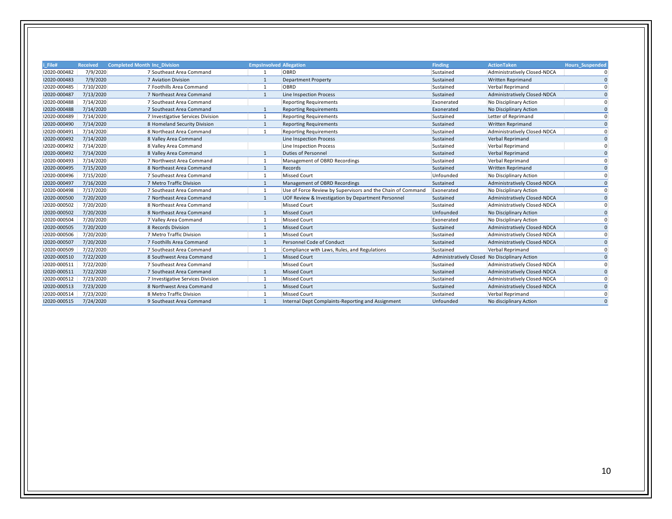| i File#<br><b>Completed Month Inc Division</b><br><b>EmpsInvolved Allegation</b><br><b>Finding</b><br><b>ActionTaken</b><br><b>Received</b><br>12020-000482<br>7/9/2020<br>7 Southeast Area Command<br>OBRD<br>Administratively Closed-NDCA<br>Sustained<br>12020-000483<br>7/9/2020<br>7 Aviation Division<br><b>Department Property</b><br>Sustained<br>Written Reprimand<br>$\overline{1}$<br>12020-000485<br>7/10/2020<br>7 Foothills Area Command<br>OBRD<br>Sustained<br>Verbal Reprimand<br>$\mathbf{1}$<br>7/13/2020<br>12020-000487<br>7 Northeast Area Command<br><b>Line Inspection Process</b><br>Administratively Closed-NDCA<br>Sustained<br>12020-000488<br>7/14/2020<br>7 Southeast Area Command<br><b>Reporting Requirements</b><br>No Disciplinary Action<br>Exonerated<br>7/14/2020<br>12020-000488<br>7 Southeast Area Command<br><b>Reporting Requirements</b><br>Exonerated<br>No Disciplinary Action<br>12020-000489<br>7/14/2020<br>Sustained<br>Letter of Reprimand<br>7 Investigative Services Division<br><b>Reporting Requirements</b><br>7/14/2020<br>12020-000490<br>8 Homeland Security Division<br>Written Reprimand<br><b>Reporting Requirements</b><br>Sustained<br>1<br>12020-000491<br>7/14/2020<br>8 Northeast Area Command<br>Sustained<br>Administratively Closed-NDCA<br><b>Reporting Requirements</b><br>$\mathbf{1}$<br>12020-000492<br>7/14/2020<br>8 Valley Area Command<br><b>Line Inspection Process</b><br>Sustained<br>Verbal Reprimand<br>12020-000492<br>7/14/2020<br>8 Valley Area Command<br>Line Inspection Process<br>Sustained<br>Verbal Reprimand<br>7/14/2020<br>12020-000492<br><b>Duties of Personnel</b><br>8 Valley Area Command<br>Sustained<br><b>Verbal Reprimand</b><br>-1<br>12020-000493<br>7/14/2020<br>Management of OBRD Recordings<br>7 Northwest Area Command<br>Sustained<br>Verbal Reprimand<br>$\overline{1}$<br>12020-000495<br>7/15/2020<br>8 Northeast Area Command<br>Records<br>Sustained<br><b>Written Reprimand</b><br>$\mathbf{1}$<br>12020-000496<br>7/15/2020<br>Missed Court<br>7 Southeast Area Command<br>Unfounded<br>No Disciplinary Action<br>12020-000497<br>7/16/2020<br>7 Metro Traffic Division<br>Management of OBRD Recordings<br>Sustained<br>Administratively Closed-NDCA<br>7/17/2020<br>12020-000498<br>7 Southeast Area Command<br>Use of Force Review by Supervisors and the Chain of Command<br>Exonerated<br>No Disciplinary Action<br>$\mathbf{1}$<br>7/20/2020<br>12020-000500<br>UOF Review & Investigation by Department Personnel<br>Sustained<br>Administratively Closed-NDCA<br>7 Northeast Area Command<br>$\mathbf{1}$<br>12020-000502<br>7/20/2020<br>Missed Court<br>8 Northeast Area Command<br>Sustained<br>Administratively Closed-NDCA<br>12020-000502<br>7/20/2020<br>8 Northeast Area Command<br><b>Missed Court</b><br>Unfounded<br>No Disciplinary Action<br>7/20/2020<br>12020-000504<br><b>Missed Court</b><br>7 Valley Area Command<br>Exonerated<br>No Disciplinary Action<br><b>Missed Court</b><br>12020-000505<br>7/20/2020<br>8 Records Division<br>Administratively Closed-NDCA<br>Sustained<br>-1<br>12020-000506<br>7/20/2020<br>7 Metro Traffic Division<br>Missed Court<br>Sustained<br>Administratively Closed-NDCA<br>12020-000507<br>7/20/2020<br>Personnel Code of Conduct<br>7 Foothills Area Command<br>Sustained<br>Administratively Closed-NDCA<br>$\mathbf{1}$<br>12020-000509<br>7/22/2020<br>7 Southeast Area Command<br>Compliance with Laws, Rules, and Regulations<br>Sustained<br>Verbal Reprimand |                        |
|------------------------------------------------------------------------------------------------------------------------------------------------------------------------------------------------------------------------------------------------------------------------------------------------------------------------------------------------------------------------------------------------------------------------------------------------------------------------------------------------------------------------------------------------------------------------------------------------------------------------------------------------------------------------------------------------------------------------------------------------------------------------------------------------------------------------------------------------------------------------------------------------------------------------------------------------------------------------------------------------------------------------------------------------------------------------------------------------------------------------------------------------------------------------------------------------------------------------------------------------------------------------------------------------------------------------------------------------------------------------------------------------------------------------------------------------------------------------------------------------------------------------------------------------------------------------------------------------------------------------------------------------------------------------------------------------------------------------------------------------------------------------------------------------------------------------------------------------------------------------------------------------------------------------------------------------------------------------------------------------------------------------------------------------------------------------------------------------------------------------------------------------------------------------------------------------------------------------------------------------------------------------------------------------------------------------------------------------------------------------------------------------------------------------------------------------------------------------------------------------------------------------------------------------------------------------------------------------------------------------------------------------------------------------------------------------------------------------------------------------------------------------------------------------------------------------------------------------------------------------------------------------------------------------------------------------------------------------------------------------------------------------------------------------------------------------------------------------------------------------------------------------------------------------------------------------------------------------------------------------------------------------------------------------------------------------------------------------------------------------------------------------------------------------------------------------------------------------------------------------------------------------------------------------------------|------------------------|
|                                                                                                                                                                                                                                                                                                                                                                                                                                                                                                                                                                                                                                                                                                                                                                                                                                                                                                                                                                                                                                                                                                                                                                                                                                                                                                                                                                                                                                                                                                                                                                                                                                                                                                                                                                                                                                                                                                                                                                                                                                                                                                                                                                                                                                                                                                                                                                                                                                                                                                                                                                                                                                                                                                                                                                                                                                                                                                                                                                                                                                                                                                                                                                                                                                                                                                                                                                                                                                                                                                                                                            | <b>Hours Suspended</b> |
|                                                                                                                                                                                                                                                                                                                                                                                                                                                                                                                                                                                                                                                                                                                                                                                                                                                                                                                                                                                                                                                                                                                                                                                                                                                                                                                                                                                                                                                                                                                                                                                                                                                                                                                                                                                                                                                                                                                                                                                                                                                                                                                                                                                                                                                                                                                                                                                                                                                                                                                                                                                                                                                                                                                                                                                                                                                                                                                                                                                                                                                                                                                                                                                                                                                                                                                                                                                                                                                                                                                                                            | 0                      |
|                                                                                                                                                                                                                                                                                                                                                                                                                                                                                                                                                                                                                                                                                                                                                                                                                                                                                                                                                                                                                                                                                                                                                                                                                                                                                                                                                                                                                                                                                                                                                                                                                                                                                                                                                                                                                                                                                                                                                                                                                                                                                                                                                                                                                                                                                                                                                                                                                                                                                                                                                                                                                                                                                                                                                                                                                                                                                                                                                                                                                                                                                                                                                                                                                                                                                                                                                                                                                                                                                                                                                            | $\Omega$               |
|                                                                                                                                                                                                                                                                                                                                                                                                                                                                                                                                                                                                                                                                                                                                                                                                                                                                                                                                                                                                                                                                                                                                                                                                                                                                                                                                                                                                                                                                                                                                                                                                                                                                                                                                                                                                                                                                                                                                                                                                                                                                                                                                                                                                                                                                                                                                                                                                                                                                                                                                                                                                                                                                                                                                                                                                                                                                                                                                                                                                                                                                                                                                                                                                                                                                                                                                                                                                                                                                                                                                                            | U                      |
|                                                                                                                                                                                                                                                                                                                                                                                                                                                                                                                                                                                                                                                                                                                                                                                                                                                                                                                                                                                                                                                                                                                                                                                                                                                                                                                                                                                                                                                                                                                                                                                                                                                                                                                                                                                                                                                                                                                                                                                                                                                                                                                                                                                                                                                                                                                                                                                                                                                                                                                                                                                                                                                                                                                                                                                                                                                                                                                                                                                                                                                                                                                                                                                                                                                                                                                                                                                                                                                                                                                                                            | <sup>0</sup>           |
|                                                                                                                                                                                                                                                                                                                                                                                                                                                                                                                                                                                                                                                                                                                                                                                                                                                                                                                                                                                                                                                                                                                                                                                                                                                                                                                                                                                                                                                                                                                                                                                                                                                                                                                                                                                                                                                                                                                                                                                                                                                                                                                                                                                                                                                                                                                                                                                                                                                                                                                                                                                                                                                                                                                                                                                                                                                                                                                                                                                                                                                                                                                                                                                                                                                                                                                                                                                                                                                                                                                                                            | n                      |
|                                                                                                                                                                                                                                                                                                                                                                                                                                                                                                                                                                                                                                                                                                                                                                                                                                                                                                                                                                                                                                                                                                                                                                                                                                                                                                                                                                                                                                                                                                                                                                                                                                                                                                                                                                                                                                                                                                                                                                                                                                                                                                                                                                                                                                                                                                                                                                                                                                                                                                                                                                                                                                                                                                                                                                                                                                                                                                                                                                                                                                                                                                                                                                                                                                                                                                                                                                                                                                                                                                                                                            | <sup>0</sup>           |
|                                                                                                                                                                                                                                                                                                                                                                                                                                                                                                                                                                                                                                                                                                                                                                                                                                                                                                                                                                                                                                                                                                                                                                                                                                                                                                                                                                                                                                                                                                                                                                                                                                                                                                                                                                                                                                                                                                                                                                                                                                                                                                                                                                                                                                                                                                                                                                                                                                                                                                                                                                                                                                                                                                                                                                                                                                                                                                                                                                                                                                                                                                                                                                                                                                                                                                                                                                                                                                                                                                                                                            |                        |
|                                                                                                                                                                                                                                                                                                                                                                                                                                                                                                                                                                                                                                                                                                                                                                                                                                                                                                                                                                                                                                                                                                                                                                                                                                                                                                                                                                                                                                                                                                                                                                                                                                                                                                                                                                                                                                                                                                                                                                                                                                                                                                                                                                                                                                                                                                                                                                                                                                                                                                                                                                                                                                                                                                                                                                                                                                                                                                                                                                                                                                                                                                                                                                                                                                                                                                                                                                                                                                                                                                                                                            | <sup>0</sup>           |
|                                                                                                                                                                                                                                                                                                                                                                                                                                                                                                                                                                                                                                                                                                                                                                                                                                                                                                                                                                                                                                                                                                                                                                                                                                                                                                                                                                                                                                                                                                                                                                                                                                                                                                                                                                                                                                                                                                                                                                                                                                                                                                                                                                                                                                                                                                                                                                                                                                                                                                                                                                                                                                                                                                                                                                                                                                                                                                                                                                                                                                                                                                                                                                                                                                                                                                                                                                                                                                                                                                                                                            |                        |
|                                                                                                                                                                                                                                                                                                                                                                                                                                                                                                                                                                                                                                                                                                                                                                                                                                                                                                                                                                                                                                                                                                                                                                                                                                                                                                                                                                                                                                                                                                                                                                                                                                                                                                                                                                                                                                                                                                                                                                                                                                                                                                                                                                                                                                                                                                                                                                                                                                                                                                                                                                                                                                                                                                                                                                                                                                                                                                                                                                                                                                                                                                                                                                                                                                                                                                                                                                                                                                                                                                                                                            |                        |
|                                                                                                                                                                                                                                                                                                                                                                                                                                                                                                                                                                                                                                                                                                                                                                                                                                                                                                                                                                                                                                                                                                                                                                                                                                                                                                                                                                                                                                                                                                                                                                                                                                                                                                                                                                                                                                                                                                                                                                                                                                                                                                                                                                                                                                                                                                                                                                                                                                                                                                                                                                                                                                                                                                                                                                                                                                                                                                                                                                                                                                                                                                                                                                                                                                                                                                                                                                                                                                                                                                                                                            |                        |
|                                                                                                                                                                                                                                                                                                                                                                                                                                                                                                                                                                                                                                                                                                                                                                                                                                                                                                                                                                                                                                                                                                                                                                                                                                                                                                                                                                                                                                                                                                                                                                                                                                                                                                                                                                                                                                                                                                                                                                                                                                                                                                                                                                                                                                                                                                                                                                                                                                                                                                                                                                                                                                                                                                                                                                                                                                                                                                                                                                                                                                                                                                                                                                                                                                                                                                                                                                                                                                                                                                                                                            |                        |
|                                                                                                                                                                                                                                                                                                                                                                                                                                                                                                                                                                                                                                                                                                                                                                                                                                                                                                                                                                                                                                                                                                                                                                                                                                                                                                                                                                                                                                                                                                                                                                                                                                                                                                                                                                                                                                                                                                                                                                                                                                                                                                                                                                                                                                                                                                                                                                                                                                                                                                                                                                                                                                                                                                                                                                                                                                                                                                                                                                                                                                                                                                                                                                                                                                                                                                                                                                                                                                                                                                                                                            |                        |
|                                                                                                                                                                                                                                                                                                                                                                                                                                                                                                                                                                                                                                                                                                                                                                                                                                                                                                                                                                                                                                                                                                                                                                                                                                                                                                                                                                                                                                                                                                                                                                                                                                                                                                                                                                                                                                                                                                                                                                                                                                                                                                                                                                                                                                                                                                                                                                                                                                                                                                                                                                                                                                                                                                                                                                                                                                                                                                                                                                                                                                                                                                                                                                                                                                                                                                                                                                                                                                                                                                                                                            | <sup>0</sup>           |
|                                                                                                                                                                                                                                                                                                                                                                                                                                                                                                                                                                                                                                                                                                                                                                                                                                                                                                                                                                                                                                                                                                                                                                                                                                                                                                                                                                                                                                                                                                                                                                                                                                                                                                                                                                                                                                                                                                                                                                                                                                                                                                                                                                                                                                                                                                                                                                                                                                                                                                                                                                                                                                                                                                                                                                                                                                                                                                                                                                                                                                                                                                                                                                                                                                                                                                                                                                                                                                                                                                                                                            | O                      |
|                                                                                                                                                                                                                                                                                                                                                                                                                                                                                                                                                                                                                                                                                                                                                                                                                                                                                                                                                                                                                                                                                                                                                                                                                                                                                                                                                                                                                                                                                                                                                                                                                                                                                                                                                                                                                                                                                                                                                                                                                                                                                                                                                                                                                                                                                                                                                                                                                                                                                                                                                                                                                                                                                                                                                                                                                                                                                                                                                                                                                                                                                                                                                                                                                                                                                                                                                                                                                                                                                                                                                            | $\Omega$               |
|                                                                                                                                                                                                                                                                                                                                                                                                                                                                                                                                                                                                                                                                                                                                                                                                                                                                                                                                                                                                                                                                                                                                                                                                                                                                                                                                                                                                                                                                                                                                                                                                                                                                                                                                                                                                                                                                                                                                                                                                                                                                                                                                                                                                                                                                                                                                                                                                                                                                                                                                                                                                                                                                                                                                                                                                                                                                                                                                                                                                                                                                                                                                                                                                                                                                                                                                                                                                                                                                                                                                                            |                        |
|                                                                                                                                                                                                                                                                                                                                                                                                                                                                                                                                                                                                                                                                                                                                                                                                                                                                                                                                                                                                                                                                                                                                                                                                                                                                                                                                                                                                                                                                                                                                                                                                                                                                                                                                                                                                                                                                                                                                                                                                                                                                                                                                                                                                                                                                                                                                                                                                                                                                                                                                                                                                                                                                                                                                                                                                                                                                                                                                                                                                                                                                                                                                                                                                                                                                                                                                                                                                                                                                                                                                                            | <sup>0</sup>           |
|                                                                                                                                                                                                                                                                                                                                                                                                                                                                                                                                                                                                                                                                                                                                                                                                                                                                                                                                                                                                                                                                                                                                                                                                                                                                                                                                                                                                                                                                                                                                                                                                                                                                                                                                                                                                                                                                                                                                                                                                                                                                                                                                                                                                                                                                                                                                                                                                                                                                                                                                                                                                                                                                                                                                                                                                                                                                                                                                                                                                                                                                                                                                                                                                                                                                                                                                                                                                                                                                                                                                                            |                        |
|                                                                                                                                                                                                                                                                                                                                                                                                                                                                                                                                                                                                                                                                                                                                                                                                                                                                                                                                                                                                                                                                                                                                                                                                                                                                                                                                                                                                                                                                                                                                                                                                                                                                                                                                                                                                                                                                                                                                                                                                                                                                                                                                                                                                                                                                                                                                                                                                                                                                                                                                                                                                                                                                                                                                                                                                                                                                                                                                                                                                                                                                                                                                                                                                                                                                                                                                                                                                                                                                                                                                                            | $\Omega$               |
|                                                                                                                                                                                                                                                                                                                                                                                                                                                                                                                                                                                                                                                                                                                                                                                                                                                                                                                                                                                                                                                                                                                                                                                                                                                                                                                                                                                                                                                                                                                                                                                                                                                                                                                                                                                                                                                                                                                                                                                                                                                                                                                                                                                                                                                                                                                                                                                                                                                                                                                                                                                                                                                                                                                                                                                                                                                                                                                                                                                                                                                                                                                                                                                                                                                                                                                                                                                                                                                                                                                                                            | U                      |
|                                                                                                                                                                                                                                                                                                                                                                                                                                                                                                                                                                                                                                                                                                                                                                                                                                                                                                                                                                                                                                                                                                                                                                                                                                                                                                                                                                                                                                                                                                                                                                                                                                                                                                                                                                                                                                                                                                                                                                                                                                                                                                                                                                                                                                                                                                                                                                                                                                                                                                                                                                                                                                                                                                                                                                                                                                                                                                                                                                                                                                                                                                                                                                                                                                                                                                                                                                                                                                                                                                                                                            |                        |
|                                                                                                                                                                                                                                                                                                                                                                                                                                                                                                                                                                                                                                                                                                                                                                                                                                                                                                                                                                                                                                                                                                                                                                                                                                                                                                                                                                                                                                                                                                                                                                                                                                                                                                                                                                                                                                                                                                                                                                                                                                                                                                                                                                                                                                                                                                                                                                                                                                                                                                                                                                                                                                                                                                                                                                                                                                                                                                                                                                                                                                                                                                                                                                                                                                                                                                                                                                                                                                                                                                                                                            | O                      |
|                                                                                                                                                                                                                                                                                                                                                                                                                                                                                                                                                                                                                                                                                                                                                                                                                                                                                                                                                                                                                                                                                                                                                                                                                                                                                                                                                                                                                                                                                                                                                                                                                                                                                                                                                                                                                                                                                                                                                                                                                                                                                                                                                                                                                                                                                                                                                                                                                                                                                                                                                                                                                                                                                                                                                                                                                                                                                                                                                                                                                                                                                                                                                                                                                                                                                                                                                                                                                                                                                                                                                            | $\Omega$               |
|                                                                                                                                                                                                                                                                                                                                                                                                                                                                                                                                                                                                                                                                                                                                                                                                                                                                                                                                                                                                                                                                                                                                                                                                                                                                                                                                                                                                                                                                                                                                                                                                                                                                                                                                                                                                                                                                                                                                                                                                                                                                                                                                                                                                                                                                                                                                                                                                                                                                                                                                                                                                                                                                                                                                                                                                                                                                                                                                                                                                                                                                                                                                                                                                                                                                                                                                                                                                                                                                                                                                                            | U                      |
| 7/22/2020<br>12020-000510<br>8 Southwest Area Command<br><b>Missed Court</b><br>Administratively Closed No Disciplinary Action<br>-1                                                                                                                                                                                                                                                                                                                                                                                                                                                                                                                                                                                                                                                                                                                                                                                                                                                                                                                                                                                                                                                                                                                                                                                                                                                                                                                                                                                                                                                                                                                                                                                                                                                                                                                                                                                                                                                                                                                                                                                                                                                                                                                                                                                                                                                                                                                                                                                                                                                                                                                                                                                                                                                                                                                                                                                                                                                                                                                                                                                                                                                                                                                                                                                                                                                                                                                                                                                                                       |                        |
| 12020-000511<br>7/22/2020<br><b>Missed Court</b><br>Administratively Closed-NDCA<br>7 Southeast Area Command<br>Sustained                                                                                                                                                                                                                                                                                                                                                                                                                                                                                                                                                                                                                                                                                                                                                                                                                                                                                                                                                                                                                                                                                                                                                                                                                                                                                                                                                                                                                                                                                                                                                                                                                                                                                                                                                                                                                                                                                                                                                                                                                                                                                                                                                                                                                                                                                                                                                                                                                                                                                                                                                                                                                                                                                                                                                                                                                                                                                                                                                                                                                                                                                                                                                                                                                                                                                                                                                                                                                                  |                        |
| 12020-000511<br>7/22/2020<br><b>Missed Court</b><br>7 Southeast Area Command<br>Sustained<br>Administratively Closed-NDCA                                                                                                                                                                                                                                                                                                                                                                                                                                                                                                                                                                                                                                                                                                                                                                                                                                                                                                                                                                                                                                                                                                                                                                                                                                                                                                                                                                                                                                                                                                                                                                                                                                                                                                                                                                                                                                                                                                                                                                                                                                                                                                                                                                                                                                                                                                                                                                                                                                                                                                                                                                                                                                                                                                                                                                                                                                                                                                                                                                                                                                                                                                                                                                                                                                                                                                                                                                                                                                  | <sup>0</sup>           |
| 7/23/2020<br>12020-000512<br>7 Investigative Services Division<br>Missed Court<br>Sustained<br>Administratively Closed-NDCA<br>$\mathbf{1}$                                                                                                                                                                                                                                                                                                                                                                                                                                                                                                                                                                                                                                                                                                                                                                                                                                                                                                                                                                                                                                                                                                                                                                                                                                                                                                                                                                                                                                                                                                                                                                                                                                                                                                                                                                                                                                                                                                                                                                                                                                                                                                                                                                                                                                                                                                                                                                                                                                                                                                                                                                                                                                                                                                                                                                                                                                                                                                                                                                                                                                                                                                                                                                                                                                                                                                                                                                                                                | O                      |
| 7/23/2020<br>12020-000513<br>8 Northwest Area Command<br><b>Missed Court</b><br>Sustained<br>Administratively Closed-NDCA                                                                                                                                                                                                                                                                                                                                                                                                                                                                                                                                                                                                                                                                                                                                                                                                                                                                                                                                                                                                                                                                                                                                                                                                                                                                                                                                                                                                                                                                                                                                                                                                                                                                                                                                                                                                                                                                                                                                                                                                                                                                                                                                                                                                                                                                                                                                                                                                                                                                                                                                                                                                                                                                                                                                                                                                                                                                                                                                                                                                                                                                                                                                                                                                                                                                                                                                                                                                                                  | <sup>0</sup>           |
| 8 Metro Traffic Division<br>12020-000514<br>7/23/2020<br>Missed Court<br>Sustained<br>Verbal Reprimand                                                                                                                                                                                                                                                                                                                                                                                                                                                                                                                                                                                                                                                                                                                                                                                                                                                                                                                                                                                                                                                                                                                                                                                                                                                                                                                                                                                                                                                                                                                                                                                                                                                                                                                                                                                                                                                                                                                                                                                                                                                                                                                                                                                                                                                                                                                                                                                                                                                                                                                                                                                                                                                                                                                                                                                                                                                                                                                                                                                                                                                                                                                                                                                                                                                                                                                                                                                                                                                     |                        |
| 7/24/2020<br>12020-000515<br>No disciplinary Action<br>9 Southeast Area Command<br>Internal Dept Complaints-Reporting and Assignment<br>Unfounded<br>1                                                                                                                                                                                                                                                                                                                                                                                                                                                                                                                                                                                                                                                                                                                                                                                                                                                                                                                                                                                                                                                                                                                                                                                                                                                                                                                                                                                                                                                                                                                                                                                                                                                                                                                                                                                                                                                                                                                                                                                                                                                                                                                                                                                                                                                                                                                                                                                                                                                                                                                                                                                                                                                                                                                                                                                                                                                                                                                                                                                                                                                                                                                                                                                                                                                                                                                                                                                                     | $\Omega$               |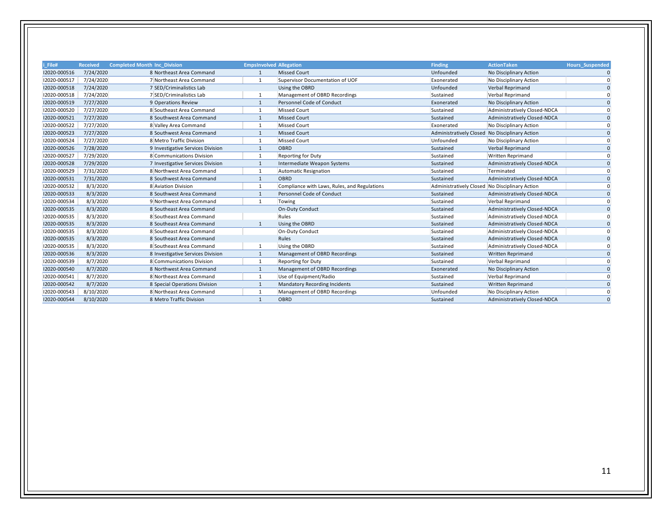| i File#      | <b>Received</b> | <b>Completed Month Inc Division</b> | <b>EmpsInvolved Allegation</b> |                                              | <b>Finding</b>                                 | <b>ActionTaken</b>           | <b>Hours Suspended</b> |
|--------------|-----------------|-------------------------------------|--------------------------------|----------------------------------------------|------------------------------------------------|------------------------------|------------------------|
| 12020-000516 | 7/24/2020       | 8 Northeast Area Command            | $\mathbf{1}$                   | <b>Missed Court</b>                          | Unfounded                                      | No Disciplinary Action       | $\mathbf{0}$           |
| 12020-000517 | 7/24/2020       | 7 Northeast Area Command            | 1                              | Supervisor Documentation of UOF              | Exonerated                                     | No Disciplinary Action       | $\Omega$               |
| 12020-000518 | 7/24/2020       | 7 SED/Criminalistics Lab            |                                | Using the OBRD                               | Unfounded                                      | Verbal Reprimand             | $\Omega$               |
| 12020-000518 | 7/24/2020       | 7 SED/Criminalistics Lab            | $\mathbf{1}$                   | Management of OBRD Recordings                | Sustained                                      | Verbal Reprimand             | $\Omega$               |
| 12020-000519 | 7/27/2020       | 9 Operations Review                 | $\mathbf{1}$                   | Personnel Code of Conduct                    | Exonerated                                     | No Disciplinary Action       | $\Omega$               |
| 12020-000520 | 7/27/2020       | 8 Southeast Area Command            | $\mathbf{1}$                   | <b>Missed Court</b>                          | Sustained                                      | Administratively Closed-NDCA | $\Omega$               |
| 12020-000521 | 7/27/2020       | 8 Southwest Area Command            | $\mathbf{1}$                   | <b>Missed Court</b>                          | Sustained                                      | Administratively Closed-NDCA | $\Omega$               |
| 12020-000522 | 7/27/2020       | 8 Valley Area Command               | $\mathbf{1}$                   | <b>Missed Court</b>                          | Exonerated                                     | No Disciplinary Action       | $\Omega$               |
| 12020-000523 | 7/27/2020       | 8 Southwest Area Command            | $\mathbf{1}$                   | <b>Missed Court</b>                          | Administratively Closed No Disciplinary Action |                              | $\Omega$               |
| 12020-000524 | 7/27/2020       | 8 Metro Traffic Division            | $\mathbf 1$                    | <b>Missed Court</b>                          | Unfounded                                      | No Disciplinary Action       | $\Omega$               |
| 12020-000526 | 7/28/2020       | 9 Investigative Services Division   | 1                              | OBRD                                         | Sustained                                      | Verbal Reprimand             | $\Omega$               |
| 12020-000527 | 7/29/2020       | 8 Communications Division           | $\mathbf{1}$                   | <b>Reporting for Duty</b>                    | Sustained                                      | <b>Written Reprimand</b>     | $\Omega$               |
| 12020-000528 | 7/29/2020       | 7 Investigative Services Division   | $\mathbf{1}$                   | Intermediate Weapon Systems                  | Sustained                                      | Administratively Closed-NDCA | $\Omega$               |
| 12020-000529 | 7/31/2020       | 8 Northwest Area Command            | $\mathbf{1}$                   | <b>Automatic Resignation</b>                 | Sustained                                      | Terminated                   | $\Omega$               |
| 12020-000531 | 7/31/2020       | 8 Southwest Area Command            | $\mathbf{1}$                   | OBRD                                         | Sustained                                      | Administratively Closed-NDCA | $\Omega$               |
| 12020-000532 | 8/3/2020        | 8 Aviation Division                 | 1                              | Compliance with Laws, Rules, and Regulations | Administratively Closed No Disciplinary Action |                              | $\Omega$               |
| 12020-000533 | 8/3/2020        | 8 Southwest Area Command            | $\mathbf{1}$                   | Personnel Code of Conduct                    | Sustained                                      | Administratively Closed-NDCA | $\Omega$               |
| 12020-000534 | 8/3/2020        | 9 Northwest Area Command            | $\mathbf{1}$                   | Towing                                       | Sustained                                      | Verbal Reprimand             | $\Omega$               |
| 12020-000535 | 8/3/2020        | 8 Southeast Area Command            |                                | On-Duty Conduct                              | Sustained                                      | Administratively Closed-NDCA | $\mathbf{0}$           |
| 12020-000535 | 8/3/2020        | 8 Southeast Area Command            |                                | Rules                                        | Sustained                                      | Administratively Closed-NDCA |                        |
| 12020-000535 | 8/3/2020        | 8 Southeast Area Command            | $\mathbf{1}$                   | Using the OBRD                               | Sustained                                      | Administratively Closed-NDCA | $\Omega$               |
| 12020-000535 | 8/3/2020        | 8 Southeast Area Command            |                                | On-Duty Conduct                              | Sustained                                      | Administratively Closed-NDCA | $\Omega$               |
| 12020-000535 | 8/3/2020        | 8 Southeast Area Command            |                                | Rules                                        | Sustained                                      | Administratively Closed-NDCA |                        |
| 12020-000535 | 8/3/2020        | 8 Southeast Area Command            | $\mathbf{1}$                   | Using the OBRD                               | Sustained                                      | Administratively Closed-NDCA |                        |
| 12020-000536 | 8/3/2020        | 8 Investigative Services Division   | 1                              | Management of OBRD Recordings                | Sustained                                      | Written Reprimand            | $\Omega$               |
| 12020-000539 | 8/7/2020        | 8 Communications Division           | $\mathbf{1}$                   | <b>Reporting for Duty</b>                    | Sustained                                      | Verbal Reprimand             | $\Omega$               |
| 12020-000540 | 8/7/2020        | 8 Northwest Area Command            | $\mathbf{1}$                   | Management of OBRD Recordings                | Exonerated                                     | No Disciplinary Action       | $\Omega$               |
| 12020-000541 | 8/7/2020        | 8 Northeast Area Command            | $\mathbf{1}$                   | Use of Equipment/Radio                       | Sustained                                      | Verbal Reprimand             | $\Omega$               |
| 12020-000542 | 8/7/2020        | 8 Special Operations Division       | 1                              | Mandatory Recording Incidents                | Sustained                                      | <b>Written Reprimand</b>     | $\Omega$               |
| 12020-000543 | 8/10/2020       | 8 Northeast Area Command            | $\mathbf{1}$                   | Management of OBRD Recordings                | Unfounded                                      | No Disciplinary Action       | n                      |
| 12020-000544 | 8/10/2020       | 8 Metro Traffic Division            | $\mathbf{1}$                   | OBRD                                         | Sustained                                      | Administratively Closed-NDCA | $\Omega$               |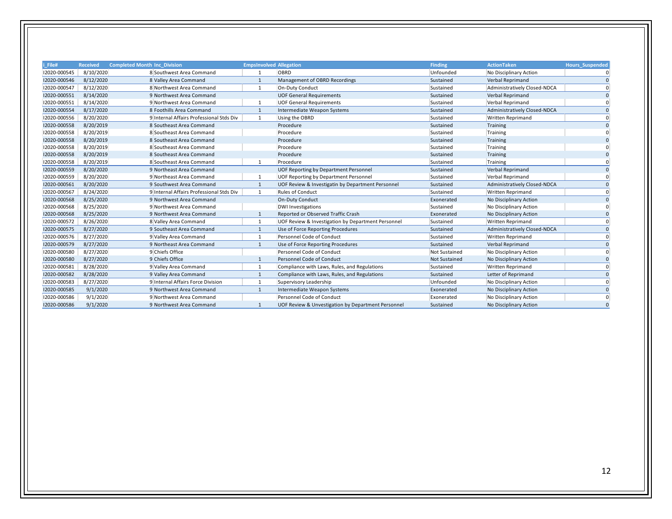| i File#      | <b>Received</b> | <b>Completed Month Inc Division</b>      | <b>Empsinvolved Allegation</b> |                                                    | <b>Finding</b>       | <b>ActionTaken</b>           | <b>Hours_Suspended</b> |
|--------------|-----------------|------------------------------------------|--------------------------------|----------------------------------------------------|----------------------|------------------------------|------------------------|
| 12020-000545 | 8/10/2020       | 8 Southwest Area Command                 |                                | OBRD                                               | Unfounded            | No Disciplinary Action       | ŋ                      |
| 12020-000546 | 8/12/2020       | 8 Valley Area Command                    | $\mathbf{1}$                   | Management of OBRD Recordings                      | Sustained            | Verbal Reprimand             | $\Omega$               |
| 12020-000547 | 8/12/2020       | 8 Northwest Area Command                 | $\mathbf{1}$                   | On-Duty Conduct                                    | Sustained            | Administratively Closed-NDCA | $\Omega$               |
| 12020-000551 | 8/14/2020       | 9 Northwest Area Command                 |                                | <b>UOF General Requirements</b>                    | Sustained            | Verbal Reprimand             | $\Omega$               |
| 12020-000551 | 8/14/2020       | 9 Northwest Area Command                 |                                | <b>UOF General Requirements</b>                    | Sustained            | Verbal Reprimand             |                        |
| 12020-000554 | 8/17/2020       | 8 Foothills Area Command                 | $\mathbf{1}$                   | Intermediate Weapon Systems                        | Sustained            | Administratively Closed-NDCA | $\Omega$               |
| 12020-000556 | 8/20/2020       | 9 Internal Affairs Professional Stds Div | 1                              | Using the OBRD                                     | Sustained            | <b>Written Reprimand</b>     | $\Omega$               |
| 12020-000558 | 8/20/2019       | 8 Southeast Area Command                 |                                | Procedure                                          | Sustained            | Training                     | $\Omega$               |
| 12020-000558 | 8/20/2019       | 8 Southeast Area Command                 |                                | Procedure                                          | Sustained            | Training                     |                        |
| 12020-000558 | 8/20/2019       | 8 Southeast Area Command                 |                                | Procedure                                          | Sustained            | Training                     |                        |
| 12020-000558 | 8/20/2019       | 8 Southeast Area Command                 |                                | Procedure                                          | Sustained            | Training                     |                        |
| 12020-000558 | 8/20/2019       | 8 Southeast Area Command                 |                                | Procedure                                          | Sustained            | Training                     |                        |
| 12020-000558 | 8/20/2019       | 8 Southeast Area Command                 |                                | Procedure                                          | Sustained            | Training                     |                        |
| 12020-000559 | 8/20/2020       | 9 Northeast Area Command                 |                                | UOF Reporting by Department Personnel              | Sustained            | Verbal Reprimand             | $\Omega$               |
| 12020-000559 | 8/20/2020       | 9 Northeast Area Command                 | 1                              | UOF Reporting by Department Personnel              | Sustained            | Verbal Reprimand             | ŋ                      |
| 12020-000561 | 8/20/2020       | 9 Southwest Area Command                 | $\mathbf{1}$                   | UOF Review & Investigatin by Department Personnel  | Sustained            | Administratively Closed-NDCA | $\Omega$               |
| 12020-000567 | 8/24/2020       | 9 Internal Affairs Professional Stds Div | 1                              | <b>Rules of Conduct</b>                            | Sustained            | <b>Written Reprimand</b>     | $\Omega$               |
| 12020-000568 | 8/25/2020       | 9 Northwest Area Command                 |                                | <b>On-Duty Conduct</b>                             | Exonerated           | No Disciplinary Action       | $\Omega$               |
| 12020-000568 | 8/25/2020       | 9 Northwest Area Command                 |                                | <b>DWI Investigations</b>                          | Sustained            | No Disciplinary Action       |                        |
| 12020-000568 | 8/25/2020       | 9 Northwest Area Command                 | $\mathbf{1}$                   | Reported or Observed Traffic Crash                 | Exonerated           | No Disciplinary Action       | $\Omega$               |
| 12020-000572 | 8/26/2020       | 8 Valley Area Command                    | 1                              | UOF Review & Investigation by Department Personnel | Sustained            | <b>Written Reprimand</b>     | $\Omega$               |
| 12020-000575 | 8/27/2020       | 9 Southeast Area Command                 | $\mathbf{1}$                   | Use of Force Reporting Procedures                  | Sustained            | Administratively Closed-NDCA | $\Omega$               |
| 12020-000576 | 8/27/2020       | 9 Valley Area Command                    | $\mathbf{1}$                   | Personnel Code of Conduct                          | Sustained            | <b>Written Reprimand</b>     | $\Omega$               |
| 12020-000579 | 8/27/2020       | 9 Northeast Area Command                 | $\mathbf{1}$                   | Use of Force Reporting Procedures                  | Sustained            | Verbal Reprimand             | $\Omega$               |
| 12020-000580 | 8/27/2020       | 9 Chiefs Office                          |                                | Personnel Code of Conduct                          | <b>Not Sustained</b> | No Disciplinary Action       | $\Omega$               |
| 12020-000580 | 8/27/2020       | 9 Chiefs Office                          |                                | Personnel Code of Conduct                          | <b>Not Sustained</b> | No Disciplinary Action       |                        |
| 12020-000581 | 8/28/2020       | 9 Valley Area Command                    | 1                              | Compliance with Laws, Rules, and Regulations       | Sustained            | <b>Written Reprimand</b>     | ŋ                      |
| 12020-000582 | 8/28/2020       | 9 Valley Area Command                    | $\mathbf{1}$                   | Compliance with Laws, Rules, and Regulations       | Sustained            | Letter of Reprimand          | $\Omega$               |
| 12020-000583 | 8/27/2020       | 9 Internal Affairs Force Division        | 1                              | Supervisory Leadership                             | Unfounded            | No Disciplinary Action       | $\Omega$               |
| 12020-000585 | 9/1/2020        | 9 Northwest Area Command                 | $\mathbf{1}$                   | Intermediate Weapon Systems                        | Exonerated           | No Disciplinary Action       | $\Omega$               |
| 12020-000586 | 9/1/2020        | 9 Northwest Area Command                 |                                | Personnel Code of Conduct                          | Exonerated           | No Disciplinary Action       | $\Omega$               |
| 12020-000586 | 9/1/2020        | 9 Northwest Area Command                 |                                | UOF Review & Unvestigation by Department Personnel | Sustained            | No Disciplinary Action       | $\Omega$               |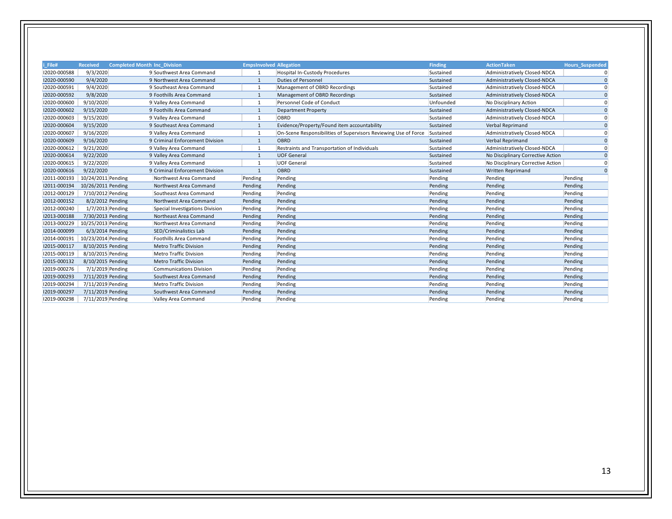| i File#      | <b>Received</b>    | <b>Completed Month Inc Division</b> | <b>EmpsInvolved Allegation</b> |                                                                 | <b>Finding</b> | <b>ActionTaken</b>                | <b>Hours Suspended</b> |
|--------------|--------------------|-------------------------------------|--------------------------------|-----------------------------------------------------------------|----------------|-----------------------------------|------------------------|
| 12020-000588 | 9/3/2020           | 9 Southwest Area Command            | 1                              | <b>Hospital In-Custody Procedures</b>                           | Sustained      | Administratively Closed-NDCA      | $\overline{0}$         |
| 12020-000590 | 9/4/2020           | 9 Northwest Area Command            | $\mathbf{1}$                   | <b>Duties of Personnel</b>                                      | Sustained      | Administratively Closed-NDCA      | $\Omega$               |
| 12020-000591 | 9/4/2020           | 9 Southeast Area Command            | $\mathbf{1}$                   | Management of OBRD Recordings                                   | Sustained      | Administratively Closed-NDCA      | $\Omega$               |
| 12020-000592 | 9/8/2020           | 9 Foothills Area Command            | $\mathbf{1}$                   | Management of OBRD Recordings                                   | Sustained      | Administratively Closed-NDCA      | $\Omega$               |
| 12020-000600 | 9/10/2020          | 9 Valley Area Command               | $\mathbf{1}$                   | Personnel Code of Conduct                                       | Unfounded      | No Disciplinary Action            | $\overline{0}$         |
| 12020-000602 | 9/15/2020          | 9 Foothills Area Command            | 1                              | <b>Department Property</b>                                      | Sustained      | Administratively Closed-NDCA      | $\mathbf{0}$           |
| 12020-000603 | 9/15/2020          | 9 Valley Area Command               | 1                              | OBRD                                                            | Sustained      | Administratively Closed-NDCA      | $\Omega$               |
| 12020-000604 | 9/15/2020          | 9 Southeast Area Command            | $\mathbf{1}$                   | Evidence/Property/Found item accountability                     | Sustained      | Verbal Reprimand                  | $\Omega$               |
| 12020-000607 | 9/16/2020          | 9 Valley Area Command               | 1                              | On-Scene Responsibilities of Supervisors Reviewing Use of Force | Sustained      | Administratively Closed-NDCA      | $\Omega$               |
| 12020-000609 | 9/16/2020          | 9 Criminal Enforcement Division     | $\mathbf{1}$                   | OBRD                                                            | Sustained      | Verbal Reprimand                  | $\Omega$               |
| 12020-000612 | 9/21/2020          | 9 Valley Area Command               | 1                              | Restraints and Transportation of Individuals                    | Sustained      | Administratively Closed-NDCA      | $\Omega$               |
| 12020-000614 | 9/22/2020          | 9 Valley Area Command               | $\mathbf{1}$                   | <b>UOF General</b>                                              | Sustained      | No Disciplinary Corrective Action | $\Omega$               |
| 12020-000615 | 9/22/2020          | 9 Valley Area Command               | 1                              | <b>UOF General</b>                                              | Sustained      | No Disciplinary Corrective Action | $\mathbf{0}$           |
| 12020-000616 | 9/22/2020          | 9 Criminal Enforcement Division     | $\mathbf{1}$                   | OBRD                                                            | Sustained      | Written Reprimand                 | $\Omega$               |
| 12011-000193 | 10/24/2011 Pending | Northwest Area Command              | Pending                        | Pending                                                         | Pending        | Pending                           | Pending                |
| 12011-000194 | 10/26/2011 Pending | Northwest Area Command              | Pending                        | Pending                                                         | Pending        | Pending                           | Pending                |
| 12012-000129 | 7/10/2012 Pending  | Southeast Area Command              | Pending                        | Pending                                                         | Pending        | Pending                           | Pending                |
| 12012-000152 | 8/2/2012 Pending   | Northwest Area Command              | Pending                        | Pending                                                         | Pending        | Pending                           | Pending                |
| 12012-000240 | 1/7/2013 Pending   | Special Investigations Division     | Pending                        | Pending                                                         | Pending        | Pending                           | Pending                |
| 12013-000188 | 7/30/2013 Pending  | Northeast Area Command              | Pending                        | Pending                                                         | Pending        | Pending                           | Pending                |
| 12013-000229 | 10/25/2013 Pending | Northwest Area Command              | Pending                        | Pending                                                         | Pending        | Pending                           | Pending                |
| 12014-000099 | 6/3/2014 Pending   | SED/Criminalistics Lab              | Pending                        | Pending                                                         | Pending        | Pending                           | Pending                |
| 12014-000191 | 10/23/2014 Pending | Foothills Area Command              | Pending                        | Pending                                                         | Pending        | Pending                           | Pending                |
| 12015-000117 | 8/10/2015 Pending  | <b>Metro Traffic Division</b>       | Pending                        | Pending                                                         | Pending        | Pending                           | Pending                |
| 12015-000119 | 8/10/2015 Pending  | Metro Traffic Division              | Pending                        | Pending                                                         | Pending        | Pending                           | Pending                |
| 12015-000132 | 8/10/2015 Pending  | <b>Metro Traffic Division</b>       | Pending                        | Pending                                                         | Pending        | Pending                           | Pending                |
| 12019-000276 | 7/1/2019 Pending   | <b>Communications Division</b>      | Pending                        | Pending                                                         | Pending        | Pending                           | Pending                |
| 12019-000293 | 7/11/2019 Pending  | Southwest Area Command              | Pending                        | Pending                                                         | Pending        | Pending                           | Pending                |
| 12019-000294 | 7/11/2019 Pending  | Metro Traffic Division              | Pending                        | Pending                                                         | Pending        | Pending                           | Pending                |
| 12019-000297 | 7/11/2019 Pending  | Southwest Area Command              | Pending                        | Pending                                                         | Pending        | Pending                           | Pending                |
| 12019-000298 | 7/11/2019 Pending  | Valley Area Command                 | Pending                        | Pending                                                         | Pending        | Pending                           | Pending                |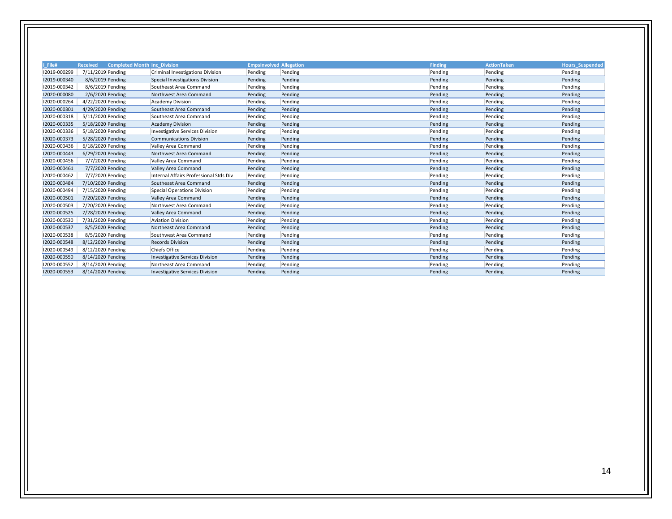| File#        | <b>Completed Month Inc Division</b><br><b>Received</b> |                                        | <b>EmpsInvolved Allegation</b> |         | <b>Finding</b> | <b>ActionTaken</b> | <b>Hours Suspended</b> |
|--------------|--------------------------------------------------------|----------------------------------------|--------------------------------|---------|----------------|--------------------|------------------------|
| 12019-000299 | 7/11/2019 Pending                                      | Criminal Investigations Division       |                                |         | Pending        | Pending            |                        |
| 12019-000340 | 8/6/2019 Pending                                       |                                        | Pending                        | Pending |                | Pending            | Pending<br>Pending     |
|              |                                                        | Special Investigations Division        | Pending                        | Pending | Pending        |                    |                        |
| 12019-000342 | 8/6/2019 Pending                                       | Southeast Area Command                 | Pending                        | Pending | Pending        | Pending            | Pending                |
| 12020-000080 | 2/6/2020 Pending                                       | Northwest Area Command                 | Pending                        | Pending | Pending        | Pending            | Pending                |
| 12020-000264 | 4/22/2020 Pending                                      | <b>Academy Division</b>                | Pending                        | Pending | Pending        | Pending            | Pending                |
| 12020-000301 | 4/29/2020 Pending                                      | Southeast Area Command                 | Pending                        | Pending | Pending        | Pending            | Pending                |
| 12020-000318 | 5/11/2020 Pending                                      | Southeast Area Command                 | Pending                        | Pending | Pending        | Pending            | Pending                |
| 12020-000335 | 5/18/2020 Pending                                      | <b>Academy Division</b>                | Pending                        | Pending | Pending        | Pending            | Pending                |
| 12020-000336 | 5/18/2020 Pending                                      | <b>Investigative Services Division</b> | Pending                        | Pending | Pending        | Pending            | Pending                |
| 12020-000373 | 5/28/2020 Pending                                      | <b>Communications Division</b>         | Pending                        | Pending | Pending        | Pending            | Pending                |
| 12020-000436 | 6/18/2020 Pending                                      | Valley Area Command                    | Pending                        | Pending | Pending        | Pending            | Pending                |
| 12020-000443 | 6/29/2020 Pending                                      | Northwest Area Command                 | Pending                        | Pending | Pending        | Pending            | Pending                |
| 12020-000456 | 7/7/2020 Pending                                       | Valley Area Command                    | Pending                        | Pending | Pending        | Pending            | Pending                |
| 12020-000461 | 7/7/2020 Pending                                       | Valley Area Command                    | Pending                        | Pending | Pending        | Pending            | Pending                |
| 12020-000462 | 7/7/2020 Pending                                       | Internal Affairs Professional Stds Div | Pending                        | Pending | Pending        | Pending            | Pending                |
| 12020-000484 | 7/10/2020 Pending                                      | Southeast Area Command                 | Pending                        | Pending | Pending        | Pending            | Pending                |
| 12020-000494 | 7/15/2020 Pending                                      | <b>Special Operations Division</b>     | Pending                        | Pending | Pending        | Pending            | Pending                |
| 12020-000501 | 7/20/2020 Pending                                      | Valley Area Command                    | Pending                        | Pending | Pending        | Pending            | Pending                |
| 12020-000503 | 7/20/2020 Pending                                      | Northwest Area Command                 | Pending                        | Pending | Pending        | Pending            | Pending                |
| 12020-000525 | 7/28/2020 Pending                                      | Valley Area Command                    | Pending                        | Pending | Pending        | Pending            | Pending                |
| 12020-000530 | 7/31/2020 Pending                                      | <b>Aviation Division</b>               | Pending                        | Pending | Pending        | Pending            | Pending                |
| 12020-000537 | 8/5/2020 Pending                                       | Northeast Area Command                 | Pending                        | Pending | Pending        | Pending            | Pending                |
| 12020-000538 | 8/5/2020 Pending                                       | Southwest Area Command                 | Pending                        | Pending | Pending        | Pending            | Pending                |
| 12020-000548 | 8/12/2020 Pending                                      | <b>Records Division</b>                | Pending                        | Pending | Pending        | Pending            | Pending                |
| 12020-000549 | 8/12/2020 Pending                                      | Chiefs Office                          | Pending                        | Pending | Pending        | Pending            | Pending                |
| 12020-000550 | 8/14/2020 Pending                                      | <b>Investigative Services Division</b> | Pending                        | Pending | Pending        | Pending            | Pending                |
| 12020-000552 | 8/14/2020 Pending                                      | Northeast Area Command                 | Pending                        | Pending | Pending        | Pending            | Pending                |
| 12020-000553 | 8/14/2020 Pending                                      | <b>Investigative Services Division</b> | Pending                        | Pending | Pending        | Pending            | Pending                |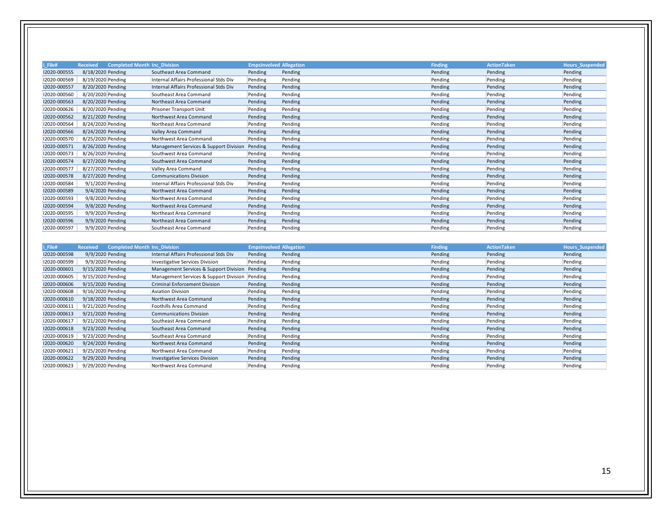| i_File#      | <b>Received</b><br><b>Completed Month Inc Division</b> |                                        | <b>EmpsInvolved Allegation</b> |         | <b>Finding</b> | <b>ActionTaken</b> | <b>Hours_Suspended</b> |
|--------------|--------------------------------------------------------|----------------------------------------|--------------------------------|---------|----------------|--------------------|------------------------|
| 12020-000555 | 8/18/2020 Pending                                      | Southeast Area Command                 | Pending                        | Pending | Pending        | Pending            | Pending                |
| 12020-000569 | 8/19/2020 Pending                                      | Internal Affairs Professional Stds Div | Pending                        | Pending | Pending        | Pending            | Pending                |
| 12020-000557 | 8/20/2020 Pending                                      | Internal Affairs Professional Stds Div | Pending                        | Pending | Pending        | Pending            | Pending                |
| 12020-000560 | 8/20/2020 Pending                                      | Southeast Area Command                 | Pending                        | Pending | Pending        | Pending            | Pending                |
| 12020-000563 | 8/20/2020 Pending                                      | Northeast Area Command                 | Pending                        | Pending | Pending        | Pending            | Pending                |
| 12020-000626 | 8/20/2020 Pending                                      | Prisoner Transport Unit                | Pending                        | Pending | Pending        | Pending            | Pending                |
| 12020-000562 | 8/21/2020 Pending                                      | Northwest Area Command                 | Pending                        | Pending | Pending        | Pending            | Pending                |
| 12020-000564 | 8/24/2020 Pending                                      | Northeast Area Command                 | Pending                        | Pending | Pending        | Pending            | Pending                |
| 12020-000566 | 8/24/2020 Pending                                      | Valley Area Command                    | Pending                        | Pending | Pending        | Pending            | Pending                |
| 12020-000570 | 8/25/2020 Pending                                      | Northwest Area Command                 | Pending                        | Pending | Pending        | Pending            | Pending                |
| 12020-000571 | 8/26/2020 Pending                                      | Management Services & Support Division | Pending                        | Pending | Pending        | Pending            | Pending                |
| 12020-000573 | 8/26/2020 Pending                                      | Southwest Area Command                 | Pending                        | Pending | Pending        | Pending            | Pending                |
| 12020-000574 | 8/27/2020 Pending                                      | Southwest Area Command                 | Pending                        | Pending | Pending        | Pending            | Pending                |
| 12020-000577 | 8/27/2020 Pending                                      | Valley Area Command                    | Pending                        | Pending | Pending        | Pending            | Pending                |
| 12020-000578 | 8/27/2020 Pending                                      | <b>Communications Division</b>         | Pending                        | Pending | Pending        | Pending            | Pending                |
| 12020-000584 | 9/1/2020 Pending                                       | Internal Affairs Professional Stds Div | Pending                        | Pending | Pending        | Pending            | Pending                |
| 12020-000589 | 9/4/2020 Pending                                       | Northwest Area Command                 | Pending                        | Pending | Pending        | Pending            | Pending                |
| 12020-000593 | 9/8/2020 Pending                                       | Northwest Area Command                 | Pending                        | Pending | Pending        | Pending            | Pending                |
| 12020-000594 | 9/8/2020 Pending                                       | Northwest Area Command                 | Pending                        | Pending | Pending        | Pending            | Pending                |
| 12020-000595 | 9/9/2020 Pending                                       | Northeast Area Command                 | Pending                        | Pending | Pending        | Pending            | Pending                |
| 12020-000596 | 9/9/2020 Pending                                       | Northeast Area Command                 | Pending                        | Pending | Pending        | Pending            | Pending                |
| 12020-000597 | 9/9/2020 Pending                                       | Southeast Area Command                 | Pending                        | Pending | Pending        | Pending            | Pending                |

| i_File#      | <b>Completed Month Inc Division</b><br><b>Received</b> |                                                | <b>EmpsInvolved Allegation</b> |         | <b>Finding</b> | <b>ActionTaken</b> | Hours_Suspended |
|--------------|--------------------------------------------------------|------------------------------------------------|--------------------------------|---------|----------------|--------------------|-----------------|
| 12020-000598 | 9/9/2020 Pending                                       | Internal Affairs Professional Stds Div         | Pending                        | Pending | Pending        | Pending            | Pending         |
| 12020-000599 | 9/9/2020 Pending                                       | Investigative Services Division                | Pending                        | Pending | Pending        | Pending            | Pending         |
| 12020-000601 | 9/15/2020 Pending                                      | Management Services & Support Division Pending |                                | Pending | Pending        | Pending            | Pending         |
| 12020-000605 | 9/15/2020 Pending                                      | Management Services & Support Division         | Pending                        | Pending | Pending        | Pending            | Pending         |
| 12020-000606 | 9/15/2020 Pending                                      | <b>Criminal Enforcement Division</b>           | Pending                        | Pending | Pending        | Pending            | Pending         |
| 12020-000608 | 9/16/2020 Pending                                      | <b>Aviation Division</b>                       | Pending                        | Pending | Pending        | Pending            | Pending         |
| 12020-000610 | 9/18/2020 Pending                                      | Northwest Area Command                         | Pending                        | Pending | Pending        | Pending            | Pending         |
| 12020-000611 | 9/21/2020 Pending                                      | Foothills Area Command                         | Pending                        | Pending | Pending        | Pending            | Pending         |
| 12020-000613 | 9/21/2020 Pending                                      | <b>Communications Division</b>                 | Pending                        | Pending | Pending        | Pending            | Pending         |
| 12020-000617 | 9/21/2020 Pending                                      | Southeast Area Command                         | Pending                        | Pending | Pending        | Pending            | Pending         |
| 12020-000618 | 9/23/2020 Pending                                      | Southeast Area Command                         | Pending                        | Pending | Pending        | Pending            | Pending         |
| 12020-000619 | 9/23/2020 Pending                                      | Southeast Area Command                         | Pending                        | Pending | Pending        | Pending            | Pending         |
| 12020-000620 | 9/24/2020 Pending                                      | Northwest Area Command                         | Pending                        | Pending | Pending        | Pending            | Pending         |
| 12020-000621 | 9/25/2020 Pending                                      | Northwest Area Command                         | Pending                        | Pending | Pending        | Pending            | Pending         |
| 12020-000622 | 9/29/2020 Pending                                      | <b>Investigative Services Division</b>         | Pending                        | Pending | Pending        | Pending            | Pending         |
| 12020-000623 | 9/29/2020 Pending                                      | Northwest Area Command                         | Pending                        | Pending | Pending        | Pending            | Pending         |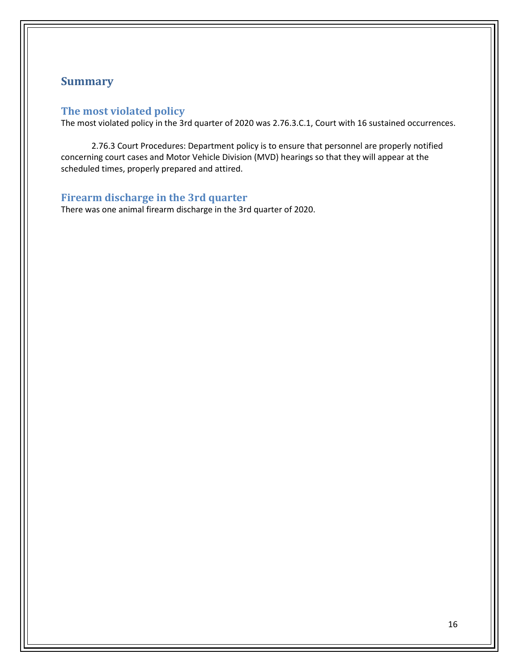## **Summary**

#### **The most violated policy**

The most violated policy in the 3rd quarter of 2020 was 2.76.3.C.1, Court with 16 sustained occurrences.

2.76.3 Court Procedures: Department policy is to ensure that personnel are properly notified concerning court cases and Motor Vehicle Division (MVD) hearings so that they will appear at the scheduled times, properly prepared and attired.

#### **Firearm discharge in the 3rd quarter**

There was one animal firearm discharge in the 3rd quarter of 2020.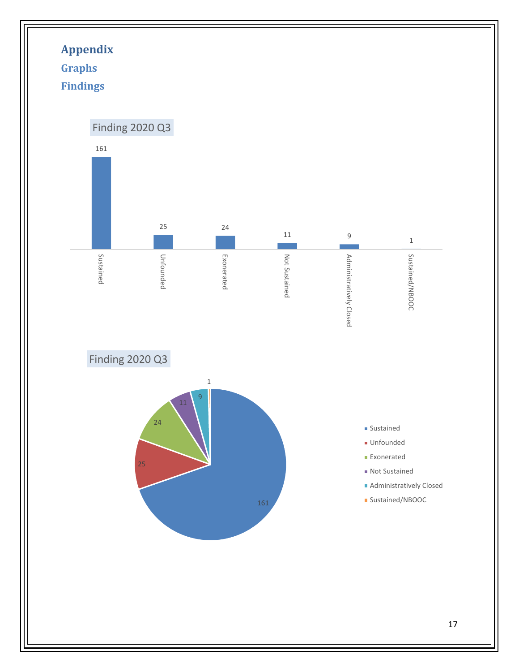<span id="page-17-2"></span><span id="page-17-1"></span><span id="page-17-0"></span>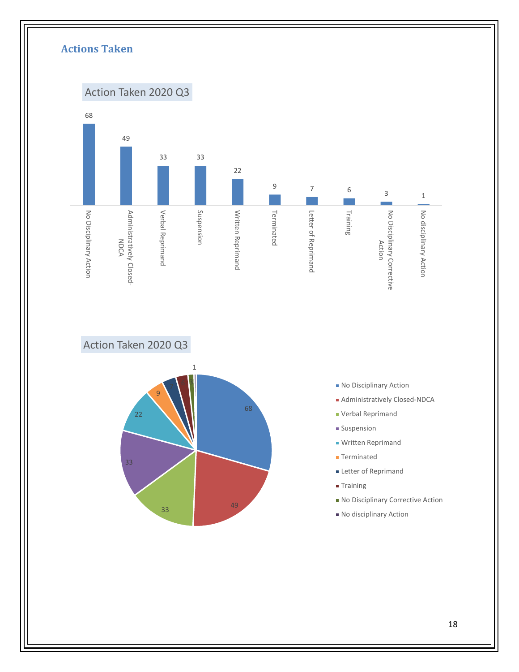<span id="page-18-0"></span>

Action Taken 2020 Q3



- No Disciplinary Action
- Administratively Closed-NDCA
- Verbal Reprimand
- **Suspension**
- **Written Reprimand**
- **Terminated**
- **Letter of Reprimand**
- Training
- No Disciplinary Corrective Action
- No disciplinary Action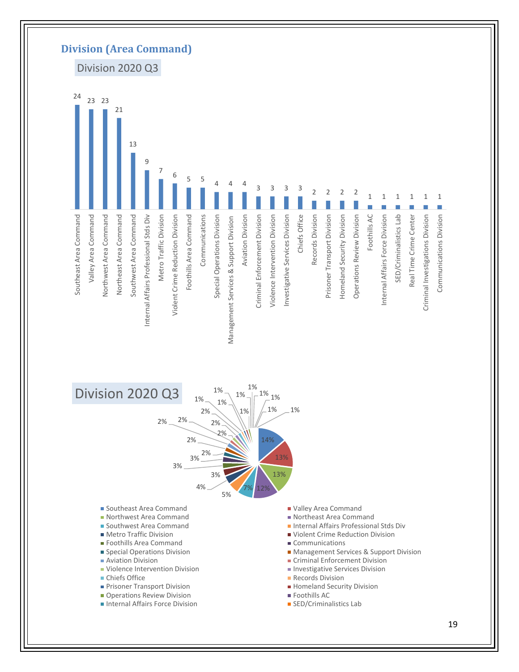<span id="page-19-0"></span>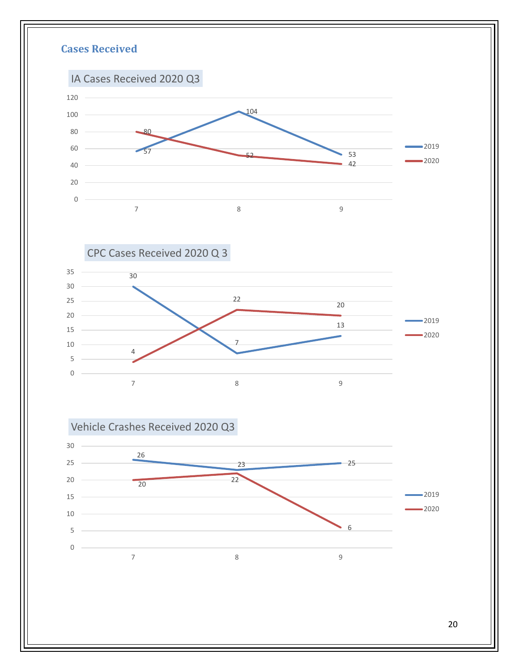<span id="page-20-0"></span>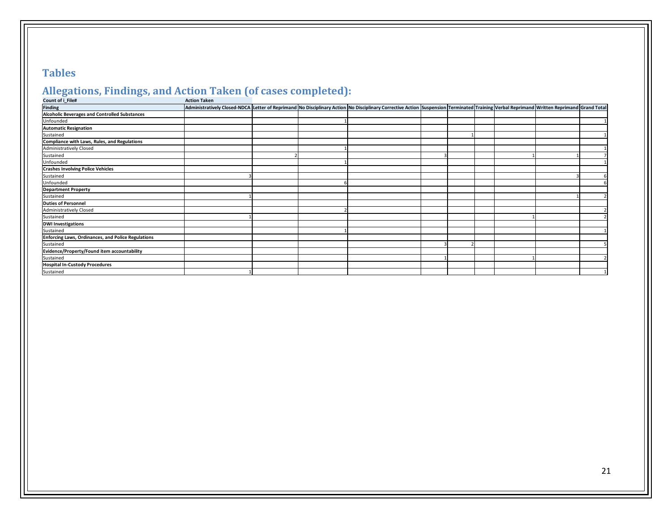## **Tables**

# **Allegations, Findings, and Action Taken (of cases completed):**

| Count of i_File#                                          | <b>Action Taken</b> |                                                                                                                                                                                         |  |  |  |  |
|-----------------------------------------------------------|---------------------|-----------------------------------------------------------------------------------------------------------------------------------------------------------------------------------------|--|--|--|--|
| <b>Finding</b>                                            |                     | Administratively Closed-NDCA Letter of Reprimand No Disciplinary Action No Disciplinary Corrective Action Suspension Terminated Training Verbal Reprimand Written Reprimand Grand Total |  |  |  |  |
| <b>Alcoholic Beverages and Controlled Substances</b>      |                     |                                                                                                                                                                                         |  |  |  |  |
| Unfounded                                                 |                     |                                                                                                                                                                                         |  |  |  |  |
| <b>Automatic Resignation</b>                              |                     |                                                                                                                                                                                         |  |  |  |  |
| Sustained                                                 |                     |                                                                                                                                                                                         |  |  |  |  |
| Compliance with Laws, Rules, and Regulations              |                     |                                                                                                                                                                                         |  |  |  |  |
| Administratively Closed                                   |                     |                                                                                                                                                                                         |  |  |  |  |
| Sustained                                                 |                     |                                                                                                                                                                                         |  |  |  |  |
| Unfounded                                                 |                     |                                                                                                                                                                                         |  |  |  |  |
| <b>Crashes Involving Police Vehicles</b>                  |                     |                                                                                                                                                                                         |  |  |  |  |
| Sustained                                                 |                     |                                                                                                                                                                                         |  |  |  |  |
| Unfounded                                                 |                     |                                                                                                                                                                                         |  |  |  |  |
| <b>Department Property</b>                                |                     |                                                                                                                                                                                         |  |  |  |  |
| Sustained                                                 |                     |                                                                                                                                                                                         |  |  |  |  |
| <b>Duties of Personnel</b>                                |                     |                                                                                                                                                                                         |  |  |  |  |
| <b>Administratively Closed</b>                            |                     |                                                                                                                                                                                         |  |  |  |  |
| Sustained                                                 |                     |                                                                                                                                                                                         |  |  |  |  |
| <b>DWI Investigations</b>                                 |                     |                                                                                                                                                                                         |  |  |  |  |
| Sustained                                                 |                     |                                                                                                                                                                                         |  |  |  |  |
| <b>Enforcing Laws, Ordinances, and Police Regulations</b> |                     |                                                                                                                                                                                         |  |  |  |  |
| Sustained                                                 |                     |                                                                                                                                                                                         |  |  |  |  |
| Evidence/Property/Found item accountability               |                     |                                                                                                                                                                                         |  |  |  |  |
| Sustained                                                 |                     |                                                                                                                                                                                         |  |  |  |  |
| <b>Hospital In-Custody Procedures</b>                     |                     |                                                                                                                                                                                         |  |  |  |  |
| Sustained                                                 |                     |                                                                                                                                                                                         |  |  |  |  |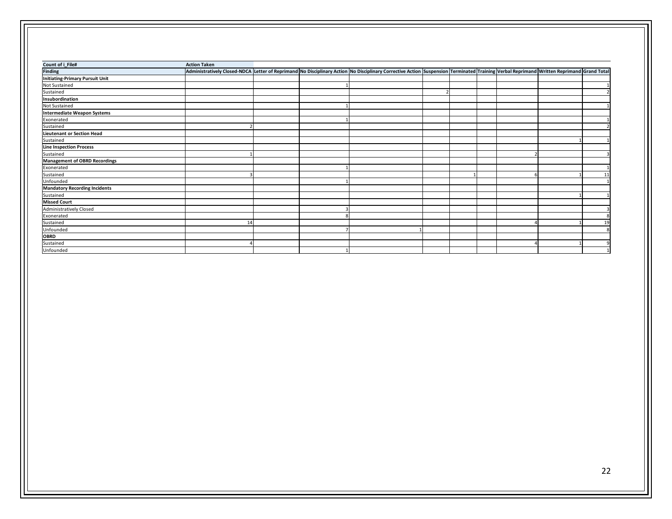| Count of i_File#                       | <b>Action Taken</b> |  |                                                                                                                                                                                           |  |  |    |
|----------------------------------------|---------------------|--|-------------------------------------------------------------------------------------------------------------------------------------------------------------------------------------------|--|--|----|
| <b>Finding</b>                         |                     |  | Administratively Closed-NDCA Letter of Reprimand No Disciplinary Action No Disciplinary Corrective Action Suspension Terminated Training Verbal Reprimand Written Reprimand   Grand Total |  |  |    |
| <b>Initiating-Primary Pursuit Unit</b> |                     |  |                                                                                                                                                                                           |  |  |    |
| Not Sustained                          |                     |  |                                                                                                                                                                                           |  |  |    |
| Sustained                              |                     |  |                                                                                                                                                                                           |  |  |    |
| Insubordination                        |                     |  |                                                                                                                                                                                           |  |  |    |
| Not Sustained                          |                     |  |                                                                                                                                                                                           |  |  |    |
| Intermediate Weapon Systems            |                     |  |                                                                                                                                                                                           |  |  |    |
| Exonerated                             |                     |  |                                                                                                                                                                                           |  |  |    |
| Sustained                              |                     |  |                                                                                                                                                                                           |  |  |    |
| <b>Lieutenant or Section Head</b>      |                     |  |                                                                                                                                                                                           |  |  |    |
| Sustained                              |                     |  |                                                                                                                                                                                           |  |  |    |
| <b>Line Inspection Process</b>         |                     |  |                                                                                                                                                                                           |  |  |    |
| Sustained                              |                     |  |                                                                                                                                                                                           |  |  |    |
| <b>Management of OBRD Recordings</b>   |                     |  |                                                                                                                                                                                           |  |  |    |
| Exonerated                             |                     |  |                                                                                                                                                                                           |  |  |    |
| Sustained                              |                     |  |                                                                                                                                                                                           |  |  | 11 |
| Unfounded                              |                     |  |                                                                                                                                                                                           |  |  |    |
| <b>Mandatory Recording Incidents</b>   |                     |  |                                                                                                                                                                                           |  |  |    |
| Sustained                              |                     |  |                                                                                                                                                                                           |  |  |    |
| <b>Missed Court</b>                    |                     |  |                                                                                                                                                                                           |  |  |    |
| Administratively Closed                |                     |  |                                                                                                                                                                                           |  |  |    |
| Exonerated                             |                     |  |                                                                                                                                                                                           |  |  |    |
| Sustained                              | 1 <sub>i</sub>      |  |                                                                                                                                                                                           |  |  | 19 |
| Unfounded                              |                     |  |                                                                                                                                                                                           |  |  |    |
| <b>OBRD</b>                            |                     |  |                                                                                                                                                                                           |  |  |    |
| Sustained                              |                     |  |                                                                                                                                                                                           |  |  |    |
| Unfounded                              |                     |  |                                                                                                                                                                                           |  |  |    |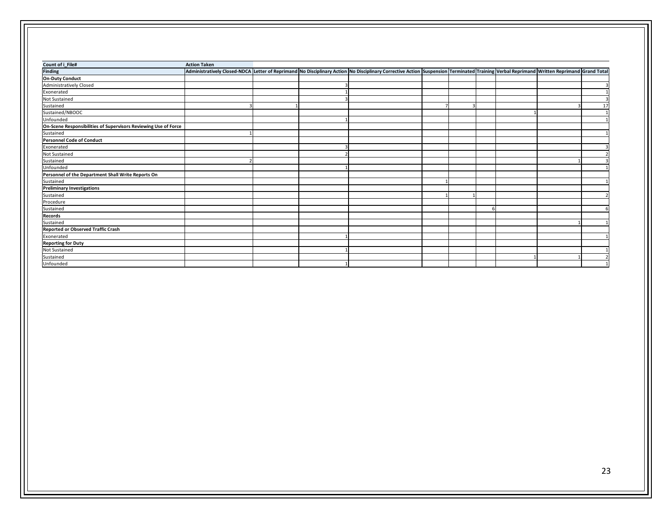| Count of i_File#                                                | <b>Action Taken</b> |  |                                                                                                                                                                                         |                         |  |    |
|-----------------------------------------------------------------|---------------------|--|-----------------------------------------------------------------------------------------------------------------------------------------------------------------------------------------|-------------------------|--|----|
| <b>Finding</b>                                                  |                     |  | Administratively Closed-NDCA Letter of Reprimand No Disciplinary Action No Disciplinary Corrective Action Suspension Terminated Training Verbal Reprimand Written Reprimand Grand Total |                         |  |    |
| <b>On-Duty Conduct</b>                                          |                     |  |                                                                                                                                                                                         |                         |  |    |
| <b>Administratively Closed</b>                                  |                     |  |                                                                                                                                                                                         |                         |  |    |
| Exonerated                                                      |                     |  |                                                                                                                                                                                         |                         |  |    |
| Not Sustained                                                   |                     |  |                                                                                                                                                                                         |                         |  |    |
| Sustained                                                       |                     |  |                                                                                                                                                                                         | $\overline{\mathbf{3}}$ |  | 17 |
| Sustained/NBOOC                                                 |                     |  |                                                                                                                                                                                         |                         |  |    |
| Unfounded                                                       |                     |  |                                                                                                                                                                                         |                         |  |    |
| On-Scene Responsibilities of Supervisors Reviewing Use of Force |                     |  |                                                                                                                                                                                         |                         |  |    |
| Sustained                                                       |                     |  |                                                                                                                                                                                         |                         |  |    |
| Personnel Code of Conduct                                       |                     |  |                                                                                                                                                                                         |                         |  |    |
| Exonerated                                                      |                     |  |                                                                                                                                                                                         |                         |  | 3  |
| Not Sustained                                                   |                     |  |                                                                                                                                                                                         |                         |  |    |
| Sustained                                                       |                     |  |                                                                                                                                                                                         |                         |  |    |
| Unfounded                                                       |                     |  |                                                                                                                                                                                         |                         |  |    |
| Personnel of the Department Shall Write Reports On              |                     |  |                                                                                                                                                                                         |                         |  |    |
| Sustained                                                       |                     |  |                                                                                                                                                                                         |                         |  |    |
| <b>Preliminary Investigations</b>                               |                     |  |                                                                                                                                                                                         |                         |  |    |
| Sustained                                                       |                     |  |                                                                                                                                                                                         |                         |  |    |
| Procedure                                                       |                     |  |                                                                                                                                                                                         |                         |  |    |
| Sustained                                                       |                     |  |                                                                                                                                                                                         |                         |  |    |
| Records                                                         |                     |  |                                                                                                                                                                                         |                         |  |    |
| Sustained                                                       |                     |  |                                                                                                                                                                                         |                         |  |    |
| Reported or Observed Traffic Crash                              |                     |  |                                                                                                                                                                                         |                         |  |    |
| Exonerated                                                      |                     |  |                                                                                                                                                                                         |                         |  |    |
| <b>Reporting for Duty</b>                                       |                     |  |                                                                                                                                                                                         |                         |  |    |
| Not Sustained                                                   |                     |  |                                                                                                                                                                                         |                         |  |    |
| Sustained                                                       |                     |  |                                                                                                                                                                                         |                         |  |    |
| Unfounded                                                       |                     |  |                                                                                                                                                                                         |                         |  |    |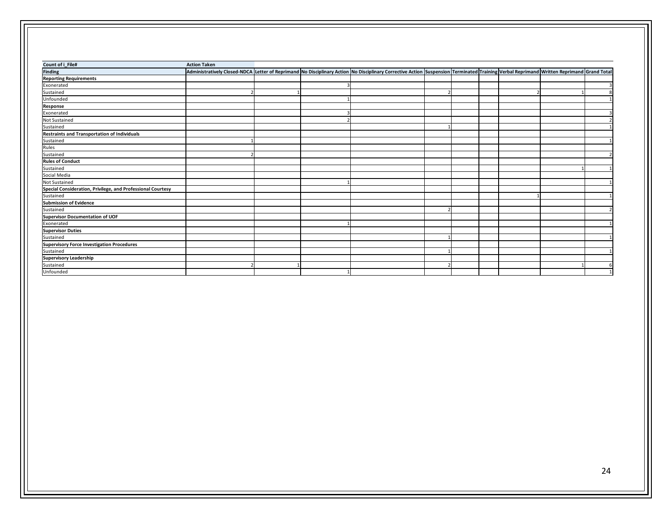| Count of i_File#                                            | <b>Action Taken</b> |  |                                                                                                                                                                                             |  |  |  |
|-------------------------------------------------------------|---------------------|--|---------------------------------------------------------------------------------------------------------------------------------------------------------------------------------------------|--|--|--|
| <b>Finding</b>                                              |                     |  | Administratively Closed-NDCA Letter of Reprimand No Disciplinary Action No Disciplinary Corrective Action Suspension Terminated Training Verbal Reprimand   Written Reprimand   Grand Total |  |  |  |
| <b>Reporting Requirements</b>                               |                     |  |                                                                                                                                                                                             |  |  |  |
| Exonerated                                                  |                     |  |                                                                                                                                                                                             |  |  |  |
| Sustained                                                   |                     |  |                                                                                                                                                                                             |  |  |  |
| Unfounded                                                   |                     |  |                                                                                                                                                                                             |  |  |  |
| Response                                                    |                     |  |                                                                                                                                                                                             |  |  |  |
| Exonerated                                                  |                     |  |                                                                                                                                                                                             |  |  |  |
| <b>Not Sustained</b>                                        |                     |  |                                                                                                                                                                                             |  |  |  |
| Sustained                                                   |                     |  |                                                                                                                                                                                             |  |  |  |
| Restraints and Transportation of Individuals                |                     |  |                                                                                                                                                                                             |  |  |  |
| Sustained                                                   |                     |  |                                                                                                                                                                                             |  |  |  |
| Rules                                                       |                     |  |                                                                                                                                                                                             |  |  |  |
| Sustained                                                   |                     |  |                                                                                                                                                                                             |  |  |  |
| <b>Rules of Conduct</b>                                     |                     |  |                                                                                                                                                                                             |  |  |  |
| Sustained                                                   |                     |  |                                                                                                                                                                                             |  |  |  |
| Social Media                                                |                     |  |                                                                                                                                                                                             |  |  |  |
| Not Sustained                                               |                     |  |                                                                                                                                                                                             |  |  |  |
| Special Consideration, Privilege, and Professional Courtesy |                     |  |                                                                                                                                                                                             |  |  |  |
| Sustained                                                   |                     |  |                                                                                                                                                                                             |  |  |  |
| Submission of Evidence                                      |                     |  |                                                                                                                                                                                             |  |  |  |
| Sustained                                                   |                     |  |                                                                                                                                                                                             |  |  |  |
| Supervisor Documentation of UOF                             |                     |  |                                                                                                                                                                                             |  |  |  |
| Exonerated                                                  |                     |  |                                                                                                                                                                                             |  |  |  |
| <b>Supervisor Duties</b>                                    |                     |  |                                                                                                                                                                                             |  |  |  |
| Sustained                                                   |                     |  |                                                                                                                                                                                             |  |  |  |
| <b>Supervisory Force Investigation Procedures</b>           |                     |  |                                                                                                                                                                                             |  |  |  |
| Sustained                                                   |                     |  |                                                                                                                                                                                             |  |  |  |
| <b>Supervisory Leadership</b>                               |                     |  |                                                                                                                                                                                             |  |  |  |
| Sustained                                                   |                     |  |                                                                                                                                                                                             |  |  |  |
| Unfounded                                                   |                     |  |                                                                                                                                                                                             |  |  |  |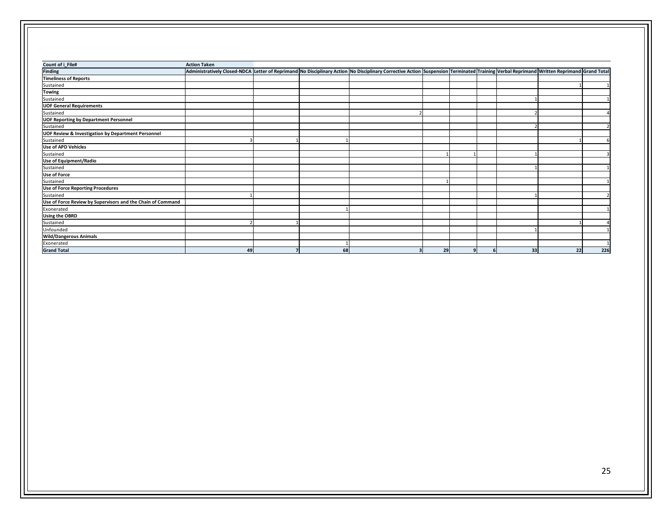| Count of i_File#                                              | <b>Action Taken</b> |    |                                                                                                                                                                                         |         |    |    |     |
|---------------------------------------------------------------|---------------------|----|-----------------------------------------------------------------------------------------------------------------------------------------------------------------------------------------|---------|----|----|-----|
| <b>Finding</b>                                                |                     |    | Administratively Closed-NDCA Letter of Reprimand No Disciplinary Action No Disciplinary Corrective Action Suspension Terminated Training Verbal Reprimand Written Reprimand Grand Total |         |    |    |     |
| <b>Timeliness of Reports</b>                                  |                     |    |                                                                                                                                                                                         |         |    |    |     |
| Sustained                                                     |                     |    |                                                                                                                                                                                         |         |    |    |     |
| <b>Towing</b>                                                 |                     |    |                                                                                                                                                                                         |         |    |    |     |
| Sustained                                                     |                     |    |                                                                                                                                                                                         |         |    |    |     |
| <b>UOF General Requirements</b>                               |                     |    |                                                                                                                                                                                         |         |    |    |     |
| Sustained                                                     |                     |    |                                                                                                                                                                                         |         |    |    |     |
| <b>UOF Reporting by Department Personnel</b>                  |                     |    |                                                                                                                                                                                         |         |    |    |     |
| Sustained                                                     |                     |    |                                                                                                                                                                                         |         |    |    |     |
| <b>UOF Review &amp; Investigation by Department Personnel</b> |                     |    |                                                                                                                                                                                         |         |    |    |     |
| Sustained                                                     |                     |    |                                                                                                                                                                                         |         |    |    |     |
| <b>Use of APD Vehicles</b>                                    |                     |    |                                                                                                                                                                                         |         |    |    |     |
| Sustained                                                     |                     |    |                                                                                                                                                                                         |         |    |    |     |
| Use of Equipment/Radio                                        |                     |    |                                                                                                                                                                                         |         |    |    |     |
| Sustained                                                     |                     |    |                                                                                                                                                                                         |         |    |    |     |
| <b>Use of Force</b>                                           |                     |    |                                                                                                                                                                                         |         |    |    |     |
| Sustained                                                     |                     |    |                                                                                                                                                                                         |         |    |    |     |
| <b>Use of Force Reporting Procedures</b>                      |                     |    |                                                                                                                                                                                         |         |    |    |     |
| Sustained                                                     |                     |    |                                                                                                                                                                                         |         |    |    |     |
| Use of Force Review by Supervisors and the Chain of Command   |                     |    |                                                                                                                                                                                         |         |    |    |     |
| Exonerated                                                    |                     |    |                                                                                                                                                                                         |         |    |    |     |
| <b>Using the OBRD</b>                                         |                     |    |                                                                                                                                                                                         |         |    |    |     |
| Sustained                                                     |                     |    |                                                                                                                                                                                         |         |    |    |     |
| Unfounded                                                     |                     |    |                                                                                                                                                                                         |         |    |    |     |
| <b>Wild/Dangerous Animals</b>                                 |                     |    |                                                                                                                                                                                         |         |    |    |     |
| Exonerated                                                    |                     |    |                                                                                                                                                                                         |         |    |    |     |
| <b>Grand Total</b>                                            | 49                  | 68 | 3                                                                                                                                                                                       | 29<br>9 | 33 | 22 | 226 |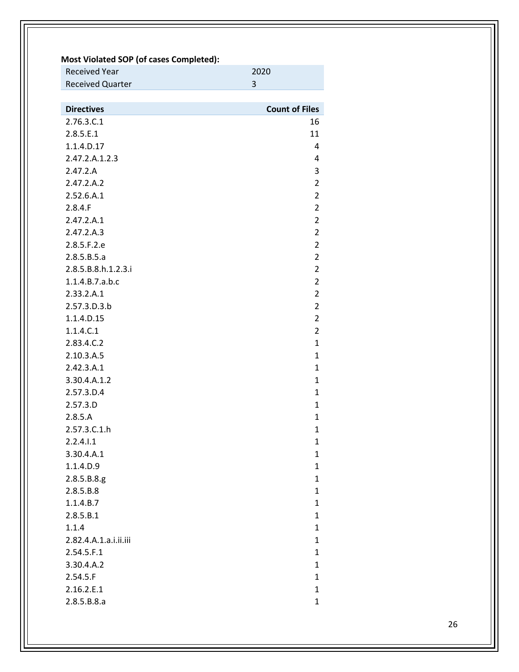| Most Violated SOP (of cases Completed): |                       |
|-----------------------------------------|-----------------------|
| <b>Received Year</b>                    | 2020                  |
| <b>Received Quarter</b>                 | 3                     |
|                                         |                       |
| <b>Directives</b>                       | <b>Count of Files</b> |
| 2.76.3.C.1                              | 16                    |
| 2.8.5.E.1                               | 11                    |
| 1.1.4.D.17                              | 4                     |
| 2.47.2.A.1.2.3                          | 4                     |
| 2.47.2.A                                | 3                     |
| 2.47.2.A.2                              | $\overline{2}$        |
| 2.52.6.A.1                              | $\overline{2}$        |
| 2.8.4.F                                 | $\overline{2}$        |
| 2.47.2.A.1                              | $\overline{2}$        |
| 2.47.2.A.3                              | $\overline{2}$        |
| 2.8.5.F.2.e                             | $\overline{2}$        |
| 2.8.5.B.5.a                             | $\overline{2}$        |
| 2.8.5.B.8.h.1.2.3.i                     | 2                     |
| 1.1.4.B.7.a.b.c                         | $\overline{2}$        |
| 2.33.2.A.1                              | $\overline{2}$        |
| 2.57.3.D.3.b                            | $\overline{2}$        |
| 1.1.4.D.15                              | $\overline{2}$        |
| 1.1.4.C.1                               | $\overline{2}$        |
| 2.83.4.C.2                              | 1                     |
| 2.10.3.A.5                              | 1                     |
| 2.42.3.A.1                              | 1                     |
| 3.30.4.A.1.2                            | $\mathbf{1}$          |
| 2.57.3.D.4                              | 1                     |
| 2.57.3.D                                | 1                     |
| 2.8.5.A                                 | $\mathbf{1}$          |
| 2.57.3.C.1.h                            | $\mathbf{1}$          |
| 2.2.4.1.1                               | 1                     |
| 3.30.4.A.1                              | $\mathbf{1}$          |
| 1.1.4.D.9                               | $\mathbf{1}$          |
| 2.8.5.B.8.g.                            | $\mathbf{1}$          |
| 2.8.5.B.8                               | $\mathbf{1}$          |
| 1.1.4.B.7                               | $\mathbf{1}$          |
| 2.8.5.B.1                               | $\mathbf{1}$          |
| 1.1.4                                   | $\mathbf{1}$          |
| 2.82.4.A.1.a.i.ii.iii                   | $\mathbf{1}$          |
| 2.54.5.F.1                              | $\mathbf{1}$          |
| 3.30.4.A.2                              | $\mathbf{1}$          |
| 2.54.5.F                                | $\mathbf{1}$          |
| 2.16.2.E.1                              | $\mathbf{1}$          |
| 2.8.5.B.8.a                             | $\mathbf{1}$          |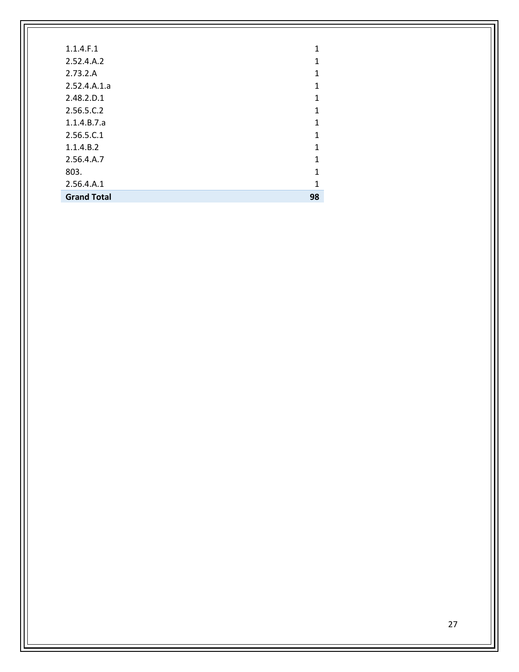| 1.1.4.F.1          | 1  |
|--------------------|----|
| 2.52.4.A.2         | 1  |
| 2.73.2.A           | 1  |
| 2.52.4.A.1.a       | 1  |
| 2.48.2.D.1         | 1  |
| 2.56.5.C.2         | 1  |
| 1.1.4.B.7.a        | 1  |
| 2.56.5.C.1         | 1  |
| 1.1.4.B.2          | 1  |
| 2.56.4.A.7         | 1  |
| 803.               | 1  |
| 2.56.4.A.1         | 1  |
| <b>Grand Total</b> | 98 |
|                    |    |